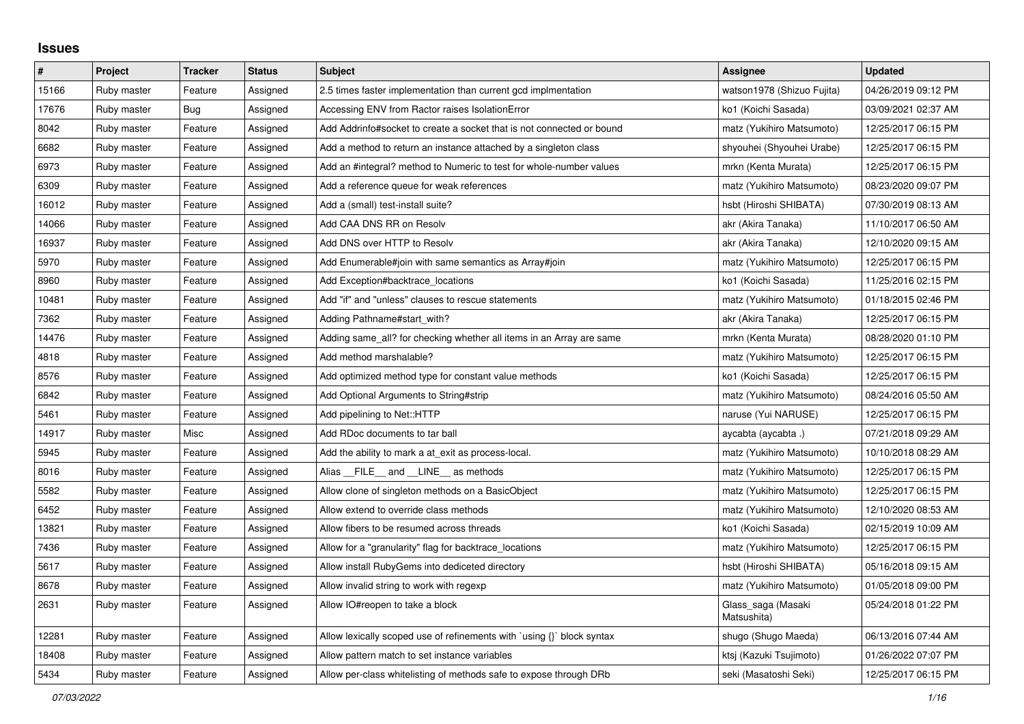## **Issues**

| $\vert$ # | Project     | <b>Tracker</b> | <b>Status</b> | <b>Subject</b>                                                         | Assignee                          | <b>Updated</b>      |
|-----------|-------------|----------------|---------------|------------------------------------------------------------------------|-----------------------------------|---------------------|
| 15166     | Ruby master | Feature        | Assigned      | 2.5 times faster implementation than current gcd implmentation         | watson1978 (Shizuo Fujita)        | 04/26/2019 09:12 PM |
| 17676     | Ruby master | <b>Bug</b>     | Assigned      | Accessing ENV from Ractor raises IsolationError                        | ko1 (Koichi Sasada)               | 03/09/2021 02:37 AM |
| 8042      | Ruby master | Feature        | Assigned      | Add Addrinfo#socket to create a socket that is not connected or bound  | matz (Yukihiro Matsumoto)         | 12/25/2017 06:15 PM |
| 6682      | Ruby master | Feature        | Assigned      | Add a method to return an instance attached by a singleton class       | shyouhei (Shyouhei Urabe)         | 12/25/2017 06:15 PM |
| 6973      | Ruby master | Feature        | Assigned      | Add an #integral? method to Numeric to test for whole-number values    | mrkn (Kenta Murata)               | 12/25/2017 06:15 PM |
| 6309      | Ruby master | Feature        | Assigned      | Add a reference queue for weak references                              | matz (Yukihiro Matsumoto)         | 08/23/2020 09:07 PM |
| 16012     | Ruby master | Feature        | Assigned      | Add a (small) test-install suite?                                      | hsbt (Hiroshi SHIBATA)            | 07/30/2019 08:13 AM |
| 14066     | Ruby master | Feature        | Assigned      | Add CAA DNS RR on Resolv                                               | akr (Akira Tanaka)                | 11/10/2017 06:50 AM |
| 16937     | Ruby master | Feature        | Assigned      | Add DNS over HTTP to Resolv                                            | akr (Akira Tanaka)                | 12/10/2020 09:15 AM |
| 5970      | Ruby master | Feature        | Assigned      | Add Enumerable#join with same semantics as Array#join                  | matz (Yukihiro Matsumoto)         | 12/25/2017 06:15 PM |
| 8960      | Ruby master | Feature        | Assigned      | Add Exception#backtrace locations                                      | ko1 (Koichi Sasada)               | 11/25/2016 02:15 PM |
| 10481     | Ruby master | Feature        | Assigned      | Add "if" and "unless" clauses to rescue statements                     | matz (Yukihiro Matsumoto)         | 01/18/2015 02:46 PM |
| 7362      | Ruby master | Feature        | Assigned      | Adding Pathname#start with?                                            | akr (Akira Tanaka)                | 12/25/2017 06:15 PM |
| 14476     | Ruby master | Feature        | Assigned      | Adding same all? for checking whether all items in an Array are same   | mrkn (Kenta Murata)               | 08/28/2020 01:10 PM |
| 4818      | Ruby master | Feature        | Assigned      | Add method marshalable?                                                | matz (Yukihiro Matsumoto)         | 12/25/2017 06:15 PM |
| 8576      | Ruby master | Feature        | Assigned      | Add optimized method type for constant value methods                   | ko1 (Koichi Sasada)               | 12/25/2017 06:15 PM |
| 6842      | Ruby master | Feature        | Assigned      | Add Optional Arguments to String#strip                                 | matz (Yukihiro Matsumoto)         | 08/24/2016 05:50 AM |
| 5461      | Ruby master | Feature        | Assigned      | Add pipelining to Net::HTTP                                            | naruse (Yui NARUSE)               | 12/25/2017 06:15 PM |
| 14917     | Ruby master | Misc           | Assigned      | Add RDoc documents to tar ball                                         | aycabta (aycabta.)                | 07/21/2018 09:29 AM |
| 5945      | Ruby master | Feature        | Assigned      | Add the ability to mark a at_exit as process-local.                    | matz (Yukihiro Matsumoto)         | 10/10/2018 08:29 AM |
| 8016      | Ruby master | Feature        | Assigned      | Alias FILE and LINE as methods                                         | matz (Yukihiro Matsumoto)         | 12/25/2017 06:15 PM |
| 5582      | Ruby master | Feature        | Assigned      | Allow clone of singleton methods on a BasicObject                      | matz (Yukihiro Matsumoto)         | 12/25/2017 06:15 PM |
| 6452      | Ruby master | Feature        | Assigned      | Allow extend to override class methods                                 | matz (Yukihiro Matsumoto)         | 12/10/2020 08:53 AM |
| 13821     | Ruby master | Feature        | Assigned      | Allow fibers to be resumed across threads                              | ko1 (Koichi Sasada)               | 02/15/2019 10:09 AM |
| 7436      | Ruby master | Feature        | Assigned      | Allow for a "granularity" flag for backtrace locations                 | matz (Yukihiro Matsumoto)         | 12/25/2017 06:15 PM |
| 5617      | Ruby master | Feature        | Assigned      | Allow install RubyGems into dediceted directory                        | hsbt (Hiroshi SHIBATA)            | 05/16/2018 09:15 AM |
| 8678      | Ruby master | Feature        | Assigned      | Allow invalid string to work with regexp                               | matz (Yukihiro Matsumoto)         | 01/05/2018 09:00 PM |
| 2631      | Ruby master | Feature        | Assigned      | Allow IO#reopen to take a block                                        | Glass_saga (Masaki<br>Matsushita) | 05/24/2018 01:22 PM |
| 12281     | Ruby master | Feature        | Assigned      | Allow lexically scoped use of refinements with `using {}` block syntax | shugo (Shugo Maeda)               | 06/13/2016 07:44 AM |
| 18408     | Ruby master | Feature        | Assigned      | Allow pattern match to set instance variables                          | ktsj (Kazuki Tsujimoto)           | 01/26/2022 07:07 PM |
| 5434      | Ruby master | Feature        | Assigned      | Allow per-class whitelisting of methods safe to expose through DRb     | seki (Masatoshi Seki)             | 12/25/2017 06:15 PM |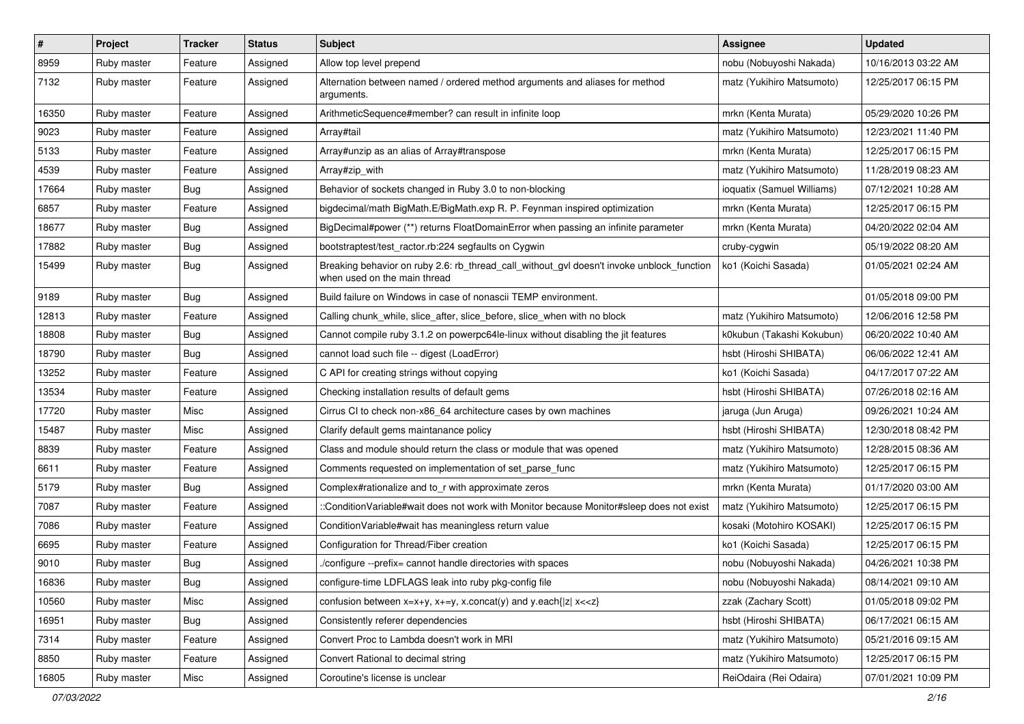| $\vert$ # | Project     | <b>Tracker</b> | <b>Status</b> | <b>Subject</b>                                                                                                            | <b>Assignee</b>            | <b>Updated</b>      |
|-----------|-------------|----------------|---------------|---------------------------------------------------------------------------------------------------------------------------|----------------------------|---------------------|
| 8959      | Ruby master | Feature        | Assigned      | Allow top level prepend                                                                                                   | nobu (Nobuyoshi Nakada)    | 10/16/2013 03:22 AM |
| 7132      | Ruby master | Feature        | Assigned      | Alternation between named / ordered method arguments and aliases for method<br>arguments.                                 | matz (Yukihiro Matsumoto)  | 12/25/2017 06:15 PM |
| 16350     | Ruby master | Feature        | Assigned      | ArithmeticSequence#member? can result in infinite loop                                                                    | mrkn (Kenta Murata)        | 05/29/2020 10:26 PM |
| 9023      | Ruby master | Feature        | Assigned      | Array#tail                                                                                                                | matz (Yukihiro Matsumoto)  | 12/23/2021 11:40 PM |
| 5133      | Ruby master | Feature        | Assigned      | Array#unzip as an alias of Array#transpose                                                                                | mrkn (Kenta Murata)        | 12/25/2017 06:15 PM |
| 4539      | Ruby master | Feature        | Assigned      | Array#zip_with                                                                                                            | matz (Yukihiro Matsumoto)  | 11/28/2019 08:23 AM |
| 17664     | Ruby master | <b>Bug</b>     | Assigned      | Behavior of sockets changed in Ruby 3.0 to non-blocking                                                                   | ioquatix (Samuel Williams) | 07/12/2021 10:28 AM |
| 6857      | Ruby master | Feature        | Assigned      | bigdecimal/math BigMath.E/BigMath.exp R. P. Feynman inspired optimization                                                 | mrkn (Kenta Murata)        | 12/25/2017 06:15 PM |
| 18677     | Ruby master | <b>Bug</b>     | Assigned      | BigDecimal#power (**) returns FloatDomainError when passing an infinite parameter                                         | mrkn (Kenta Murata)        | 04/20/2022 02:04 AM |
| 17882     | Ruby master | <b>Bug</b>     | Assigned      | bootstraptest/test_ractor.rb:224 segfaults on Cygwin                                                                      | cruby-cygwin               | 05/19/2022 08:20 AM |
| 15499     | Ruby master | Bug            | Assigned      | Breaking behavior on ruby 2.6: rb_thread_call_without_gvl doesn't invoke unblock_function<br>when used on the main thread | ko1 (Koichi Sasada)        | 01/05/2021 02:24 AM |
| 9189      | Ruby master | <b>Bug</b>     | Assigned      | Build failure on Windows in case of nonascii TEMP environment.                                                            |                            | 01/05/2018 09:00 PM |
| 12813     | Ruby master | Feature        | Assigned      | Calling chunk_while, slice_after, slice_before, slice_when with no block                                                  | matz (Yukihiro Matsumoto)  | 12/06/2016 12:58 PM |
| 18808     | Ruby master | Bug            | Assigned      | Cannot compile ruby 3.1.2 on powerpc64le-linux without disabling the jit features                                         | k0kubun (Takashi Kokubun)  | 06/20/2022 10:40 AM |
| 18790     | Ruby master | <b>Bug</b>     | Assigned      | cannot load such file -- digest (LoadError)                                                                               | hsbt (Hiroshi SHIBATA)     | 06/06/2022 12:41 AM |
| 13252     | Ruby master | Feature        | Assigned      | C API for creating strings without copying                                                                                | ko1 (Koichi Sasada)        | 04/17/2017 07:22 AM |
| 13534     | Ruby master | Feature        | Assigned      | Checking installation results of default gems                                                                             | hsbt (Hiroshi SHIBATA)     | 07/26/2018 02:16 AM |
| 17720     | Ruby master | Misc           | Assigned      | Cirrus CI to check non-x86_64 architecture cases by own machines                                                          | jaruga (Jun Aruga)         | 09/26/2021 10:24 AM |
| 15487     | Ruby master | Misc           | Assigned      | Clarify default gems maintanance policy                                                                                   | hsbt (Hiroshi SHIBATA)     | 12/30/2018 08:42 PM |
| 8839      | Ruby master | Feature        | Assigned      | Class and module should return the class or module that was opened                                                        | matz (Yukihiro Matsumoto)  | 12/28/2015 08:36 AM |
| 6611      | Ruby master | Feature        | Assigned      | Comments requested on implementation of set_parse_func                                                                    | matz (Yukihiro Matsumoto)  | 12/25/2017 06:15 PM |
| 5179      | Ruby master | <b>Bug</b>     | Assigned      | Complex#rationalize and to_r with approximate zeros                                                                       | mrkn (Kenta Murata)        | 01/17/2020 03:00 AM |
| 7087      | Ruby master | Feature        | Assigned      | ::ConditionVariable#wait does not work with Monitor because Monitor#sleep does not exist                                  | matz (Yukihiro Matsumoto)  | 12/25/2017 06:15 PM |
| 7086      | Ruby master | Feature        | Assigned      | Condition Variable#wait has meaningless return value                                                                      | kosaki (Motohiro KOSAKI)   | 12/25/2017 06:15 PM |
| 6695      | Ruby master | Feature        | Assigned      | Configuration for Thread/Fiber creation                                                                                   | ko1 (Koichi Sasada)        | 12/25/2017 06:15 PM |
| 9010      | Ruby master | <b>Bug</b>     | Assigned      | /configure --prefix= cannot handle directories with spaces                                                                | nobu (Nobuyoshi Nakada)    | 04/26/2021 10:38 PM |
| 16836     | Ruby master | Bug            | Assigned      | configure-time LDFLAGS leak into ruby pkg-config file                                                                     | nobu (Nobuyoshi Nakada)    | 08/14/2021 09:10 AM |
| 10560     | Ruby master | Misc           | Assigned      | confusion between $x=x+y$ , $x+=y$ , x.concat(y) and y.each{ z  $x<}$                                                     | zzak (Zachary Scott)       | 01/05/2018 09:02 PM |
| 16951     | Ruby master | <b>Bug</b>     | Assigned      | Consistently referer dependencies                                                                                         | hsbt (Hiroshi SHIBATA)     | 06/17/2021 06:15 AM |
| 7314      | Ruby master | Feature        | Assigned      | Convert Proc to Lambda doesn't work in MRI                                                                                | matz (Yukihiro Matsumoto)  | 05/21/2016 09:15 AM |
| 8850      | Ruby master | Feature        | Assigned      | Convert Rational to decimal string                                                                                        | matz (Yukihiro Matsumoto)  | 12/25/2017 06:15 PM |
| 16805     | Ruby master | Misc           | Assigned      | Coroutine's license is unclear                                                                                            | ReiOdaira (Rei Odaira)     | 07/01/2021 10:09 PM |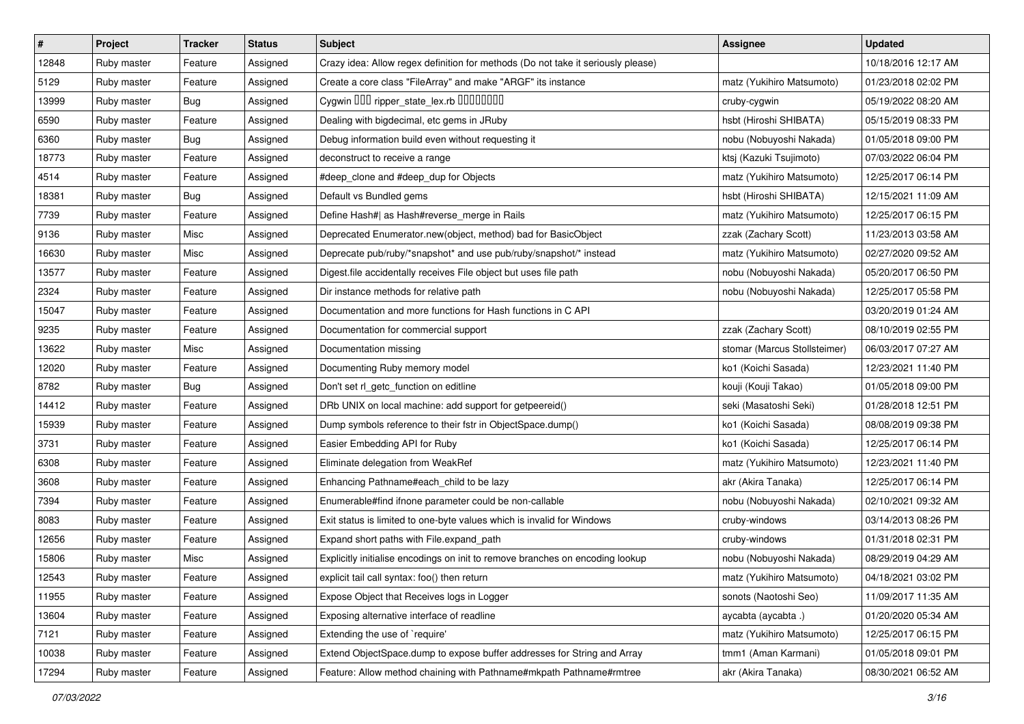| $\sharp$ | Project     | <b>Tracker</b> | <b>Status</b> | <b>Subject</b>                                                                   | <b>Assignee</b>              | <b>Updated</b>      |
|----------|-------------|----------------|---------------|----------------------------------------------------------------------------------|------------------------------|---------------------|
| 12848    | Ruby master | Feature        | Assigned      | Crazy idea: Allow regex definition for methods (Do not take it seriously please) |                              | 10/18/2016 12:17 AM |
| 5129     | Ruby master | Feature        | Assigned      | Create a core class "FileArray" and make "ARGF" its instance                     | matz (Yukihiro Matsumoto)    | 01/23/2018 02:02 PM |
| 13999    | Ruby master | Bug            | Assigned      | Cygwin OOD ripper_state_lex.rb 0000000                                           | cruby-cygwin                 | 05/19/2022 08:20 AM |
| 6590     | Ruby master | Feature        | Assigned      | Dealing with bigdecimal, etc gems in JRuby                                       | hsbt (Hiroshi SHIBATA)       | 05/15/2019 08:33 PM |
| 6360     | Ruby master | Bug            | Assigned      | Debug information build even without requesting it                               | nobu (Nobuyoshi Nakada)      | 01/05/2018 09:00 PM |
| 18773    | Ruby master | Feature        | Assigned      | deconstruct to receive a range                                                   | ktsj (Kazuki Tsujimoto)      | 07/03/2022 06:04 PM |
| 4514     | Ruby master | Feature        | Assigned      | #deep_clone and #deep_dup for Objects                                            | matz (Yukihiro Matsumoto)    | 12/25/2017 06:14 PM |
| 18381    | Ruby master | <b>Bug</b>     | Assigned      | Default vs Bundled gems                                                          | hsbt (Hiroshi SHIBATA)       | 12/15/2021 11:09 AM |
| 7739     | Ruby master | Feature        | Assigned      | Define Hash#  as Hash#reverse_merge in Rails                                     | matz (Yukihiro Matsumoto)    | 12/25/2017 06:15 PM |
| 9136     | Ruby master | Misc           | Assigned      | Deprecated Enumerator.new(object, method) bad for BasicObject                    | zzak (Zachary Scott)         | 11/23/2013 03:58 AM |
| 16630    | Ruby master | Misc           | Assigned      | Deprecate pub/ruby/*snapshot* and use pub/ruby/snapshot/* instead                | matz (Yukihiro Matsumoto)    | 02/27/2020 09:52 AM |
| 13577    | Ruby master | Feature        | Assigned      | Digest file accidentally receives File object but uses file path                 | nobu (Nobuyoshi Nakada)      | 05/20/2017 06:50 PM |
| 2324     | Ruby master | Feature        | Assigned      | Dir instance methods for relative path                                           | nobu (Nobuyoshi Nakada)      | 12/25/2017 05:58 PM |
| 15047    | Ruby master | Feature        | Assigned      | Documentation and more functions for Hash functions in C API                     |                              | 03/20/2019 01:24 AM |
| 9235     | Ruby master | Feature        | Assigned      | Documentation for commercial support                                             | zzak (Zachary Scott)         | 08/10/2019 02:55 PM |
| 13622    | Ruby master | Misc           | Assigned      | Documentation missing                                                            | stomar (Marcus Stollsteimer) | 06/03/2017 07:27 AM |
| 12020    | Ruby master | Feature        | Assigned      | Documenting Ruby memory model                                                    | ko1 (Koichi Sasada)          | 12/23/2021 11:40 PM |
| 8782     | Ruby master | <b>Bug</b>     | Assigned      | Don't set rl_getc_function on editline                                           | kouji (Kouji Takao)          | 01/05/2018 09:00 PM |
| 14412    | Ruby master | Feature        | Assigned      | DRb UNIX on local machine: add support for getpeereid()                          | seki (Masatoshi Seki)        | 01/28/2018 12:51 PM |
| 15939    | Ruby master | Feature        | Assigned      | Dump symbols reference to their fstr in ObjectSpace.dump()                       | ko1 (Koichi Sasada)          | 08/08/2019 09:38 PM |
| 3731     | Ruby master | Feature        | Assigned      | Easier Embedding API for Ruby                                                    | ko1 (Koichi Sasada)          | 12/25/2017 06:14 PM |
| 6308     | Ruby master | Feature        | Assigned      | Eliminate delegation from WeakRef                                                | matz (Yukihiro Matsumoto)    | 12/23/2021 11:40 PM |
| 3608     | Ruby master | Feature        | Assigned      | Enhancing Pathname#each_child to be lazy                                         | akr (Akira Tanaka)           | 12/25/2017 06:14 PM |
| 7394     | Ruby master | Feature        | Assigned      | Enumerable#find ifnone parameter could be non-callable                           | nobu (Nobuyoshi Nakada)      | 02/10/2021 09:32 AM |
| 8083     | Ruby master | Feature        | Assigned      | Exit status is limited to one-byte values which is invalid for Windows           | cruby-windows                | 03/14/2013 08:26 PM |
| 12656    | Ruby master | Feature        | Assigned      | Expand short paths with File.expand_path                                         | cruby-windows                | 01/31/2018 02:31 PM |
| 15806    | Ruby master | Misc           | Assigned      | Explicitly initialise encodings on init to remove branches on encoding lookup    | nobu (Nobuyoshi Nakada)      | 08/29/2019 04:29 AM |
| 12543    | Ruby master | Feature        | Assigned      | explicit tail call syntax: foo() then return                                     | matz (Yukihiro Matsumoto)    | 04/18/2021 03:02 PM |
| 11955    | Ruby master | Feature        | Assigned      | Expose Object that Receives logs in Logger                                       | sonots (Naotoshi Seo)        | 11/09/2017 11:35 AM |
| 13604    | Ruby master | Feature        | Assigned      | Exposing alternative interface of readline                                       | aycabta (aycabta.)           | 01/20/2020 05:34 AM |
| 7121     | Ruby master | Feature        | Assigned      | Extending the use of `require'                                                   | matz (Yukihiro Matsumoto)    | 12/25/2017 06:15 PM |
| 10038    | Ruby master | Feature        | Assigned      | Extend ObjectSpace.dump to expose buffer addresses for String and Array          | tmm1 (Aman Karmani)          | 01/05/2018 09:01 PM |
| 17294    | Ruby master | Feature        | Assigned      | Feature: Allow method chaining with Pathname#mkpath Pathname#rmtree              | akr (Akira Tanaka)           | 08/30/2021 06:52 AM |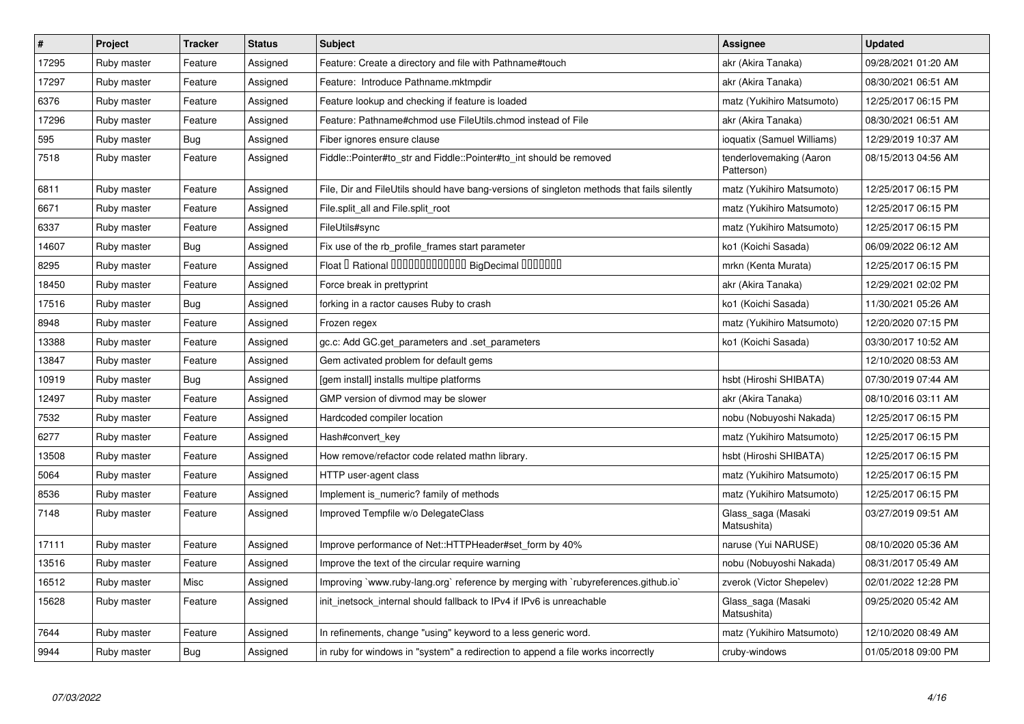| $\vert$ # | Project     | <b>Tracker</b> | <b>Status</b> | <b>Subject</b>                                                                             | Assignee                              | <b>Updated</b>      |
|-----------|-------------|----------------|---------------|--------------------------------------------------------------------------------------------|---------------------------------------|---------------------|
| 17295     | Ruby master | Feature        | Assigned      | Feature: Create a directory and file with Pathname#touch                                   | akr (Akira Tanaka)                    | 09/28/2021 01:20 AM |
| 17297     | Ruby master | Feature        | Assigned      | Feature: Introduce Pathname.mktmpdir                                                       | akr (Akira Tanaka)                    | 08/30/2021 06:51 AM |
| 6376      | Ruby master | Feature        | Assigned      | Feature lookup and checking if feature is loaded                                           | matz (Yukihiro Matsumoto)             | 12/25/2017 06:15 PM |
| 17296     | Ruby master | Feature        | Assigned      | Feature: Pathname#chmod use FileUtils.chmod instead of File                                | akr (Akira Tanaka)                    | 08/30/2021 06:51 AM |
| 595       | Ruby master | <b>Bug</b>     | Assigned      | Fiber ignores ensure clause                                                                | ioquatix (Samuel Williams)            | 12/29/2019 10:37 AM |
| 7518      | Ruby master | Feature        | Assigned      | Fiddle::Pointer#to str and Fiddle::Pointer#to int should be removed                        | tenderlovemaking (Aaron<br>Patterson) | 08/15/2013 04:56 AM |
| 6811      | Ruby master | Feature        | Assigned      | File, Dir and FileUtils should have bang-versions of singleton methods that fails silently | matz (Yukihiro Matsumoto)             | 12/25/2017 06:15 PM |
| 6671      | Ruby master | Feature        | Assigned      | File.split_all and File.split_root                                                         | matz (Yukihiro Matsumoto)             | 12/25/2017 06:15 PM |
| 6337      | Ruby master | Feature        | Assigned      | FileUtils#sync                                                                             | matz (Yukihiro Matsumoto)             | 12/25/2017 06:15 PM |
| 14607     | Ruby master | <b>Bug</b>     | Assigned      | Fix use of the rb profile frames start parameter                                           | ko1 (Koichi Sasada)                   | 06/09/2022 06:12 AM |
| 8295      | Ruby master | Feature        | Assigned      | Float I Rational IIIIIIIIIIIIIIIIIII BigDecimal IIIIIIIIII                                 | mrkn (Kenta Murata)                   | 12/25/2017 06:15 PM |
| 18450     | Ruby master | Feature        | Assigned      | Force break in prettyprint                                                                 | akr (Akira Tanaka)                    | 12/29/2021 02:02 PM |
| 17516     | Ruby master | <b>Bug</b>     | Assigned      | forking in a ractor causes Ruby to crash                                                   | ko1 (Koichi Sasada)                   | 11/30/2021 05:26 AM |
| 8948      | Ruby master | Feature        | Assigned      | Frozen regex                                                                               | matz (Yukihiro Matsumoto)             | 12/20/2020 07:15 PM |
| 13388     | Ruby master | Feature        | Assigned      | gc.c: Add GC.get_parameters and .set_parameters                                            | ko1 (Koichi Sasada)                   | 03/30/2017 10:52 AM |
| 13847     | Ruby master | Feature        | Assigned      | Gem activated problem for default gems                                                     |                                       | 12/10/2020 08:53 AM |
| 10919     | Ruby master | Bug            | Assigned      | [gem install] installs multipe platforms                                                   | hsbt (Hiroshi SHIBATA)                | 07/30/2019 07:44 AM |
| 12497     | Ruby master | Feature        | Assigned      | GMP version of divmod may be slower                                                        | akr (Akira Tanaka)                    | 08/10/2016 03:11 AM |
| 7532      | Ruby master | Feature        | Assigned      | Hardcoded compiler location                                                                | nobu (Nobuyoshi Nakada)               | 12/25/2017 06:15 PM |
| 6277      | Ruby master | Feature        | Assigned      | Hash#convert_key                                                                           | matz (Yukihiro Matsumoto)             | 12/25/2017 06:15 PM |
| 13508     | Ruby master | Feature        | Assigned      | How remove/refactor code related mathn library.                                            | hsbt (Hiroshi SHIBATA)                | 12/25/2017 06:15 PM |
| 5064      | Ruby master | Feature        | Assigned      | HTTP user-agent class                                                                      | matz (Yukihiro Matsumoto)             | 12/25/2017 06:15 PM |
| 8536      | Ruby master | Feature        | Assigned      | Implement is numeric? family of methods                                                    | matz (Yukihiro Matsumoto)             | 12/25/2017 06:15 PM |
| 7148      | Ruby master | Feature        | Assigned      | Improved Tempfile w/o DelegateClass                                                        | Glass_saga (Masaki<br>Matsushita)     | 03/27/2019 09:51 AM |
| 17111     | Ruby master | Feature        | Assigned      | Improve performance of Net::HTTPHeader#set_form by 40%                                     | naruse (Yui NARUSE)                   | 08/10/2020 05:36 AM |
| 13516     | Ruby master | Feature        | Assigned      | Improve the text of the circular require warning                                           | nobu (Nobuyoshi Nakada)               | 08/31/2017 05:49 AM |
| 16512     | Ruby master | Misc           | Assigned      | Improving `www.ruby-lang.org` reference by merging with `rubyreferences.github.io`         | zverok (Victor Shepelev)              | 02/01/2022 12:28 PM |
| 15628     | Ruby master | Feature        | Assigned      | init_inetsock_internal should fallback to IPv4 if IPv6 is unreachable                      | Glass_saga (Masaki<br>Matsushita)     | 09/25/2020 05:42 AM |
| 7644      | Ruby master | Feature        | Assigned      | In refinements, change "using" keyword to a less generic word.                             | matz (Yukihiro Matsumoto)             | 12/10/2020 08:49 AM |
| 9944      | Ruby master | <b>Bug</b>     | Assigned      | in ruby for windows in "system" a redirection to append a file works incorrectly           | cruby-windows                         | 01/05/2018 09:00 PM |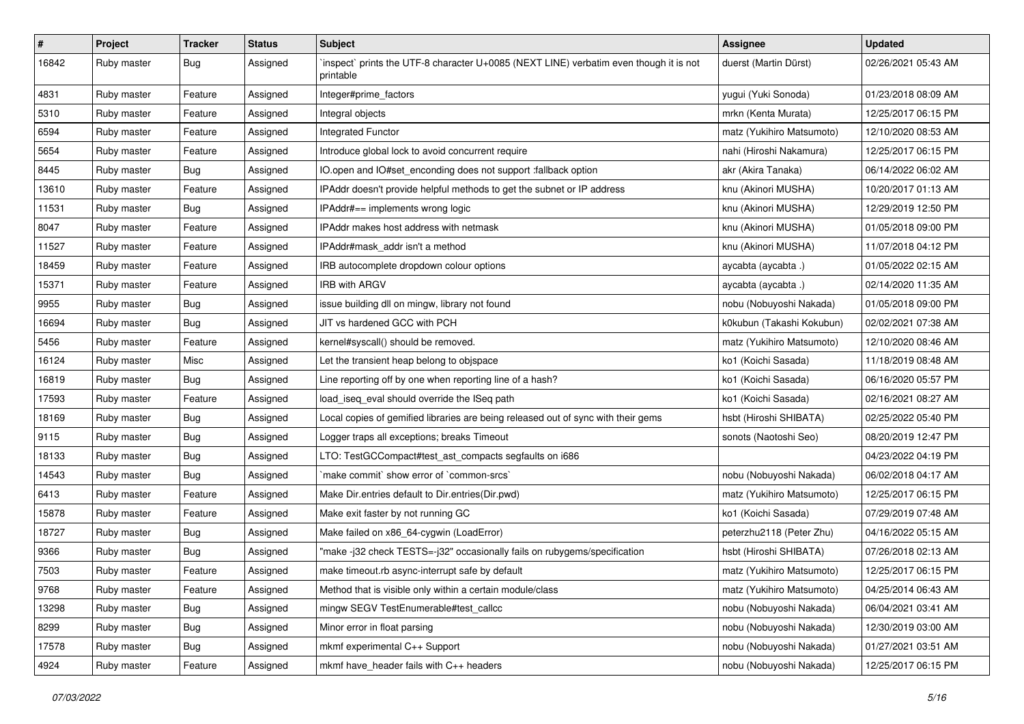| $\vert$ # | Project     | <b>Tracker</b> | <b>Status</b> | Subject                                                                                             | <b>Assignee</b>           | <b>Updated</b>      |
|-----------|-------------|----------------|---------------|-----------------------------------------------------------------------------------------------------|---------------------------|---------------------|
| 16842     | Ruby master | <b>Bug</b>     | Assigned      | 'inspect' prints the UTF-8 character U+0085 (NEXT LINE) verbatim even though it is not<br>printable | duerst (Martin Dürst)     | 02/26/2021 05:43 AM |
| 4831      | Ruby master | Feature        | Assigned      | Integer#prime_factors                                                                               | yugui (Yuki Sonoda)       | 01/23/2018 08:09 AM |
| 5310      | Ruby master | Feature        | Assigned      | Integral objects                                                                                    | mrkn (Kenta Murata)       | 12/25/2017 06:15 PM |
| 6594      | Ruby master | Feature        | Assigned      | Integrated Functor                                                                                  | matz (Yukihiro Matsumoto) | 12/10/2020 08:53 AM |
| 5654      | Ruby master | Feature        | Assigned      | Introduce global lock to avoid concurrent require                                                   | nahi (Hiroshi Nakamura)   | 12/25/2017 06:15 PM |
| 8445      | Ruby master | <b>Bug</b>     | Assigned      | IO.open and IO#set_enconding does not support :fallback option                                      | akr (Akira Tanaka)        | 06/14/2022 06:02 AM |
| 13610     | Ruby master | Feature        | Assigned      | IPAddr doesn't provide helpful methods to get the subnet or IP address                              | knu (Akinori MUSHA)       | 10/20/2017 01:13 AM |
| 11531     | Ruby master | Bug            | Assigned      | IPAddr#== implements wrong logic                                                                    | knu (Akinori MUSHA)       | 12/29/2019 12:50 PM |
| 8047      | Ruby master | Feature        | Assigned      | IPAddr makes host address with netmask                                                              | knu (Akinori MUSHA)       | 01/05/2018 09:00 PM |
| 11527     | Ruby master | Feature        | Assigned      | IPAddr#mask addr isn't a method                                                                     | knu (Akinori MUSHA)       | 11/07/2018 04:12 PM |
| 18459     | Ruby master | Feature        | Assigned      | IRB autocomplete dropdown colour options                                                            | aycabta (aycabta.)        | 01/05/2022 02:15 AM |
| 15371     | Ruby master | Feature        | Assigned      | <b>IRB with ARGV</b>                                                                                | aycabta (aycabta.)        | 02/14/2020 11:35 AM |
| 9955      | Ruby master | Bug            | Assigned      | issue building dll on mingw, library not found                                                      | nobu (Nobuyoshi Nakada)   | 01/05/2018 09:00 PM |
| 16694     | Ruby master | Bug            | Assigned      | JIT vs hardened GCC with PCH                                                                        | k0kubun (Takashi Kokubun) | 02/02/2021 07:38 AM |
| 5456      | Ruby master | Feature        | Assigned      | kernel#syscall() should be removed.                                                                 | matz (Yukihiro Matsumoto) | 12/10/2020 08:46 AM |
| 16124     | Ruby master | Misc           | Assigned      | Let the transient heap belong to objspace                                                           | ko1 (Koichi Sasada)       | 11/18/2019 08:48 AM |
| 16819     | Ruby master | Bug            | Assigned      | Line reporting off by one when reporting line of a hash?                                            | ko1 (Koichi Sasada)       | 06/16/2020 05:57 PM |
| 17593     | Ruby master | Feature        | Assigned      | load_iseq_eval should override the ISeq path                                                        | ko1 (Koichi Sasada)       | 02/16/2021 08:27 AM |
| 18169     | Ruby master | <b>Bug</b>     | Assigned      | Local copies of gemified libraries are being released out of sync with their gems                   | hsbt (Hiroshi SHIBATA)    | 02/25/2022 05:40 PM |
| 9115      | Ruby master | <b>Bug</b>     | Assigned      | Logger traps all exceptions; breaks Timeout                                                         | sonots (Naotoshi Seo)     | 08/20/2019 12:47 PM |
| 18133     | Ruby master | <b>Bug</b>     | Assigned      | LTO: TestGCCompact#test_ast_compacts segfaults on i686                                              |                           | 04/23/2022 04:19 PM |
| 14543     | Ruby master | <b>Bug</b>     | Assigned      | `make commit` show error of `common-srcs`                                                           | nobu (Nobuyoshi Nakada)   | 06/02/2018 04:17 AM |
| 6413      | Ruby master | Feature        | Assigned      | Make Dir.entries default to Dir.entries(Dir.pwd)                                                    | matz (Yukihiro Matsumoto) | 12/25/2017 06:15 PM |
| 15878     | Ruby master | Feature        | Assigned      | Make exit faster by not running GC                                                                  | ko1 (Koichi Sasada)       | 07/29/2019 07:48 AM |
| 18727     | Ruby master | <b>Bug</b>     | Assigned      | Make failed on x86_64-cygwin (LoadError)                                                            | peterzhu2118 (Peter Zhu)  | 04/16/2022 05:15 AM |
| 9366      | Ruby master | Bug            | Assigned      | "make-j32 check TESTS=-j32" occasionally fails on rubygems/specification                            | hsbt (Hiroshi SHIBATA)    | 07/26/2018 02:13 AM |
| 7503      | Ruby master | Feature        | Assigned      | make timeout.rb async-interrupt safe by default                                                     | matz (Yukihiro Matsumoto) | 12/25/2017 06:15 PM |
| 9768      | Ruby master | Feature        | Assigned      | Method that is visible only within a certain module/class                                           | matz (Yukihiro Matsumoto) | 04/25/2014 06:43 AM |
| 13298     | Ruby master | <b>Bug</b>     | Assigned      | mingw SEGV TestEnumerable#test_callcc                                                               | nobu (Nobuyoshi Nakada)   | 06/04/2021 03:41 AM |
| 8299      | Ruby master | <b>Bug</b>     | Assigned      | Minor error in float parsing                                                                        | nobu (Nobuyoshi Nakada)   | 12/30/2019 03:00 AM |
| 17578     | Ruby master | <b>Bug</b>     | Assigned      | mkmf experimental C++ Support                                                                       | nobu (Nobuyoshi Nakada)   | 01/27/2021 03:51 AM |
| 4924      | Ruby master | Feature        | Assigned      | mkmf have_header fails with C++ headers                                                             | nobu (Nobuyoshi Nakada)   | 12/25/2017 06:15 PM |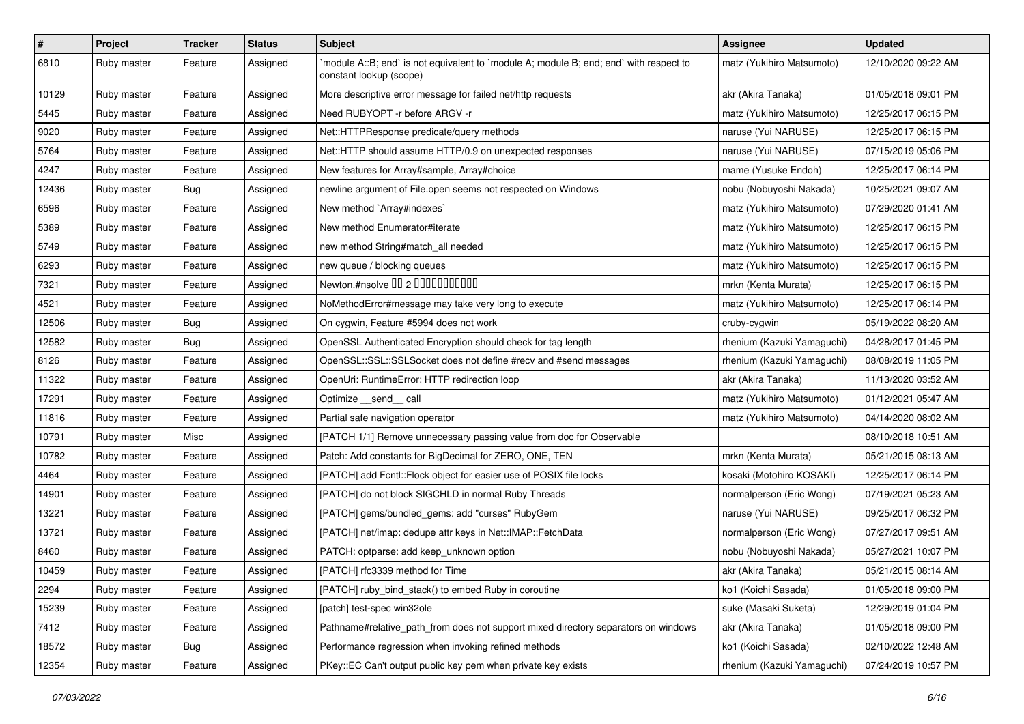| #     | Project     | <b>Tracker</b> | <b>Status</b> | Subject                                                                                                           | <b>Assignee</b>            | <b>Updated</b>      |
|-------|-------------|----------------|---------------|-------------------------------------------------------------------------------------------------------------------|----------------------------|---------------------|
| 6810  | Ruby master | Feature        | Assigned      | 'module A::B; end' is not equivalent to 'module A; module B; end; end' with respect to<br>constant lookup (scope) | matz (Yukihiro Matsumoto)  | 12/10/2020 09:22 AM |
| 10129 | Ruby master | Feature        | Assigned      | More descriptive error message for failed net/http requests                                                       | akr (Akira Tanaka)         | 01/05/2018 09:01 PM |
| 5445  | Ruby master | Feature        | Assigned      | Need RUBYOPT - r before ARGV - r                                                                                  | matz (Yukihiro Matsumoto)  | 12/25/2017 06:15 PM |
| 9020  | Ruby master | Feature        | Assigned      | Net::HTTPResponse predicate/query methods                                                                         | naruse (Yui NARUSE)        | 12/25/2017 06:15 PM |
| 5764  | Ruby master | Feature        | Assigned      | Net::HTTP should assume HTTP/0.9 on unexpected responses                                                          | naruse (Yui NARUSE)        | 07/15/2019 05:06 PM |
| 4247  | Ruby master | Feature        | Assigned      | New features for Array#sample, Array#choice                                                                       | mame (Yusuke Endoh)        | 12/25/2017 06:14 PM |
| 12436 | Ruby master | <b>Bug</b>     | Assigned      | newline argument of File.open seems not respected on Windows                                                      | nobu (Nobuyoshi Nakada)    | 10/25/2021 09:07 AM |
| 6596  | Ruby master | Feature        | Assigned      | New method `Array#indexes`                                                                                        | matz (Yukihiro Matsumoto)  | 07/29/2020 01:41 AM |
| 5389  | Ruby master | Feature        | Assigned      | New method Enumerator#iterate                                                                                     | matz (Yukihiro Matsumoto)  | 12/25/2017 06:15 PM |
| 5749  | Ruby master | Feature        | Assigned      | new method String#match_all needed                                                                                | matz (Yukihiro Matsumoto)  | 12/25/2017 06:15 PM |
| 6293  | Ruby master | Feature        | Assigned      | new queue / blocking queues                                                                                       | matz (Yukihiro Matsumoto)  | 12/25/2017 06:15 PM |
| 7321  | Ruby master | Feature        | Assigned      | Newton.#nsolve 00 2 0000000000                                                                                    | mrkn (Kenta Murata)        | 12/25/2017 06:15 PM |
| 4521  | Ruby master | Feature        | Assigned      | NoMethodError#message may take very long to execute                                                               | matz (Yukihiro Matsumoto)  | 12/25/2017 06:14 PM |
| 12506 | Ruby master | <b>Bug</b>     | Assigned      | On cygwin, Feature #5994 does not work                                                                            | cruby-cygwin               | 05/19/2022 08:20 AM |
| 12582 | Ruby master | <b>Bug</b>     | Assigned      | OpenSSL Authenticated Encryption should check for tag length                                                      | rhenium (Kazuki Yamaguchi) | 04/28/2017 01:45 PM |
| 8126  | Ruby master | Feature        | Assigned      | OpenSSL::SSL::SSLSocket does not define #recv and #send messages                                                  | rhenium (Kazuki Yamaguchi) | 08/08/2019 11:05 PM |
| 11322 | Ruby master | Feature        | Assigned      | OpenUri: RuntimeError: HTTP redirection loop                                                                      | akr (Akira Tanaka)         | 11/13/2020 03:52 AM |
| 17291 | Ruby master | Feature        | Assigned      | Optimize __send__ call                                                                                            | matz (Yukihiro Matsumoto)  | 01/12/2021 05:47 AM |
| 11816 | Ruby master | Feature        | Assigned      | Partial safe navigation operator                                                                                  | matz (Yukihiro Matsumoto)  | 04/14/2020 08:02 AM |
| 10791 | Ruby master | Misc           | Assigned      | [PATCH 1/1] Remove unnecessary passing value from doc for Observable                                              |                            | 08/10/2018 10:51 AM |
| 10782 | Ruby master | Feature        | Assigned      | Patch: Add constants for BigDecimal for ZERO, ONE, TEN                                                            | mrkn (Kenta Murata)        | 05/21/2015 08:13 AM |
| 4464  | Ruby master | Feature        | Assigned      | [PATCH] add Fcntl::Flock object for easier use of POSIX file locks                                                | kosaki (Motohiro KOSAKI)   | 12/25/2017 06:14 PM |
| 14901 | Ruby master | Feature        | Assigned      | [PATCH] do not block SIGCHLD in normal Ruby Threads                                                               | normalperson (Eric Wong)   | 07/19/2021 05:23 AM |
| 13221 | Ruby master | Feature        | Assigned      | [PATCH] gems/bundled_gems: add "curses" RubyGem                                                                   | naruse (Yui NARUSE)        | 09/25/2017 06:32 PM |
| 13721 | Ruby master | Feature        | Assigned      | [PATCH] net/imap: dedupe attr keys in Net::IMAP::FetchData                                                        | normalperson (Eric Wong)   | 07/27/2017 09:51 AM |
| 8460  | Ruby master | Feature        | Assigned      | PATCH: optparse: add keep_unknown option                                                                          | nobu (Nobuyoshi Nakada)    | 05/27/2021 10:07 PM |
| 10459 | Ruby master | Feature        | Assigned      | [PATCH] rfc3339 method for Time                                                                                   | akr (Akira Tanaka)         | 05/21/2015 08:14 AM |
| 2294  | Ruby master | Feature        | Assigned      | [PATCH] ruby_bind_stack() to embed Ruby in coroutine                                                              | ko1 (Koichi Sasada)        | 01/05/2018 09:00 PM |
| 15239 | Ruby master | Feature        | Assigned      | [patch] test-spec win32ole                                                                                        | suke (Masaki Suketa)       | 12/29/2019 01:04 PM |
| 7412  | Ruby master | Feature        | Assigned      | Pathname#relative_path_from does not support mixed directory separators on windows                                | akr (Akira Tanaka)         | 01/05/2018 09:00 PM |
| 18572 | Ruby master | <b>Bug</b>     | Assigned      | Performance regression when invoking refined methods                                                              | ko1 (Koichi Sasada)        | 02/10/2022 12:48 AM |
| 12354 | Ruby master | Feature        | Assigned      | PKey::EC Can't output public key pem when private key exists                                                      | rhenium (Kazuki Yamaguchi) | 07/24/2019 10:57 PM |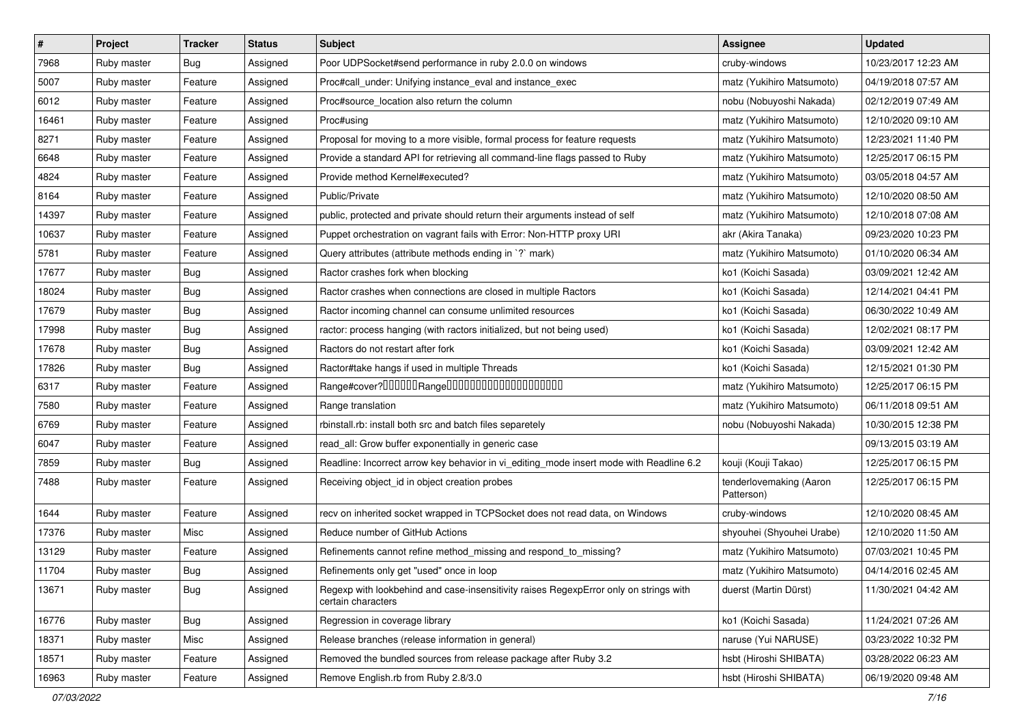| $\vert$ # | Project     | <b>Tracker</b> | <b>Status</b> | Subject                                                                                                     | <b>Assignee</b>                       | <b>Updated</b>      |
|-----------|-------------|----------------|---------------|-------------------------------------------------------------------------------------------------------------|---------------------------------------|---------------------|
| 7968      | Ruby master | <b>Bug</b>     | Assigned      | Poor UDPSocket#send performance in ruby 2.0.0 on windows                                                    | cruby-windows                         | 10/23/2017 12:23 AM |
| 5007      | Ruby master | Feature        | Assigned      | Proc#call_under: Unifying instance_eval and instance_exec                                                   | matz (Yukihiro Matsumoto)             | 04/19/2018 07:57 AM |
| 6012      | Ruby master | Feature        | Assigned      | Proc#source_location also return the column                                                                 | nobu (Nobuyoshi Nakada)               | 02/12/2019 07:49 AM |
| 16461     | Ruby master | Feature        | Assigned      | Proc#using                                                                                                  | matz (Yukihiro Matsumoto)             | 12/10/2020 09:10 AM |
| 8271      | Ruby master | Feature        | Assigned      | Proposal for moving to a more visible, formal process for feature requests                                  | matz (Yukihiro Matsumoto)             | 12/23/2021 11:40 PM |
| 6648      | Ruby master | Feature        | Assigned      | Provide a standard API for retrieving all command-line flags passed to Ruby                                 | matz (Yukihiro Matsumoto)             | 12/25/2017 06:15 PM |
| 4824      | Ruby master | Feature        | Assigned      | Provide method Kernel#executed?                                                                             | matz (Yukihiro Matsumoto)             | 03/05/2018 04:57 AM |
| 8164      | Ruby master | Feature        | Assigned      | Public/Private                                                                                              | matz (Yukihiro Matsumoto)             | 12/10/2020 08:50 AM |
| 14397     | Ruby master | Feature        | Assigned      | public, protected and private should return their arguments instead of self                                 | matz (Yukihiro Matsumoto)             | 12/10/2018 07:08 AM |
| 10637     | Ruby master | Feature        | Assigned      | Puppet orchestration on vagrant fails with Error: Non-HTTP proxy URI                                        | akr (Akira Tanaka)                    | 09/23/2020 10:23 PM |
| 5781      | Ruby master | Feature        | Assigned      | Query attributes (attribute methods ending in `?` mark)                                                     | matz (Yukihiro Matsumoto)             | 01/10/2020 06:34 AM |
| 17677     | Ruby master | <b>Bug</b>     | Assigned      | Ractor crashes fork when blocking                                                                           | ko1 (Koichi Sasada)                   | 03/09/2021 12:42 AM |
| 18024     | Ruby master | <b>Bug</b>     | Assigned      | Ractor crashes when connections are closed in multiple Ractors                                              | ko1 (Koichi Sasada)                   | 12/14/2021 04:41 PM |
| 17679     | Ruby master | Bug            | Assigned      | Ractor incoming channel can consume unlimited resources                                                     | ko1 (Koichi Sasada)                   | 06/30/2022 10:49 AM |
| 17998     | Ruby master | <b>Bug</b>     | Assigned      | ractor: process hanging (with ractors initialized, but not being used)                                      | ko1 (Koichi Sasada)                   | 12/02/2021 08:17 PM |
| 17678     | Ruby master | Bug            | Assigned      | Ractors do not restart after fork                                                                           | ko1 (Koichi Sasada)                   | 03/09/2021 12:42 AM |
| 17826     | Ruby master | <b>Bug</b>     | Assigned      | Ractor#take hangs if used in multiple Threads                                                               | ko1 (Koichi Sasada)                   | 12/15/2021 01:30 PM |
| 6317      | Ruby master | Feature        | Assigned      |                                                                                                             | matz (Yukihiro Matsumoto)             | 12/25/2017 06:15 PM |
| 7580      | Ruby master | Feature        | Assigned      | Range translation                                                                                           | matz (Yukihiro Matsumoto)             | 06/11/2018 09:51 AM |
| 6769      | Ruby master | Feature        | Assigned      | rbinstall.rb: install both src and batch files separetely                                                   | nobu (Nobuyoshi Nakada)               | 10/30/2015 12:38 PM |
| 6047      | Ruby master | Feature        | Assigned      | read_all: Grow buffer exponentially in generic case                                                         |                                       | 09/13/2015 03:19 AM |
| 7859      | Ruby master | <b>Bug</b>     | Assigned      | Readline: Incorrect arrow key behavior in vi_editing_mode insert mode with Readline 6.2                     | kouji (Kouji Takao)                   | 12/25/2017 06:15 PM |
| 7488      | Ruby master | Feature        | Assigned      | Receiving object_id in object creation probes                                                               | tenderlovemaking (Aaron<br>Patterson) | 12/25/2017 06:15 PM |
| 1644      | Ruby master | Feature        | Assigned      | recv on inherited socket wrapped in TCPSocket does not read data, on Windows                                | cruby-windows                         | 12/10/2020 08:45 AM |
| 17376     | Ruby master | Misc           | Assigned      | Reduce number of GitHub Actions                                                                             | shyouhei (Shyouhei Urabe)             | 12/10/2020 11:50 AM |
| 13129     | Ruby master | Feature        | Assigned      | Refinements cannot refine method_missing and respond_to_missing?                                            | matz (Yukihiro Matsumoto)             | 07/03/2021 10:45 PM |
| 11704     | Ruby master | Bug            | Assigned      | Refinements only get "used" once in loop                                                                    | matz (Yukihiro Matsumoto)             | 04/14/2016 02:45 AM |
| 13671     | Ruby master | <b>Bug</b>     | Assigned      | Regexp with lookbehind and case-insensitivity raises RegexpError only on strings with<br>certain characters | duerst (Martin Dürst)                 | 11/30/2021 04:42 AM |
| 16776     | Ruby master | <b>Bug</b>     | Assigned      | Regression in coverage library                                                                              | ko1 (Koichi Sasada)                   | 11/24/2021 07:26 AM |
| 18371     | Ruby master | Misc           | Assigned      | Release branches (release information in general)                                                           | naruse (Yui NARUSE)                   | 03/23/2022 10:32 PM |
| 18571     | Ruby master | Feature        | Assigned      | Removed the bundled sources from release package after Ruby 3.2                                             | hsbt (Hiroshi SHIBATA)                | 03/28/2022 06:23 AM |
| 16963     | Ruby master | Feature        | Assigned      | Remove English.rb from Ruby 2.8/3.0                                                                         | hsbt (Hiroshi SHIBATA)                | 06/19/2020 09:48 AM |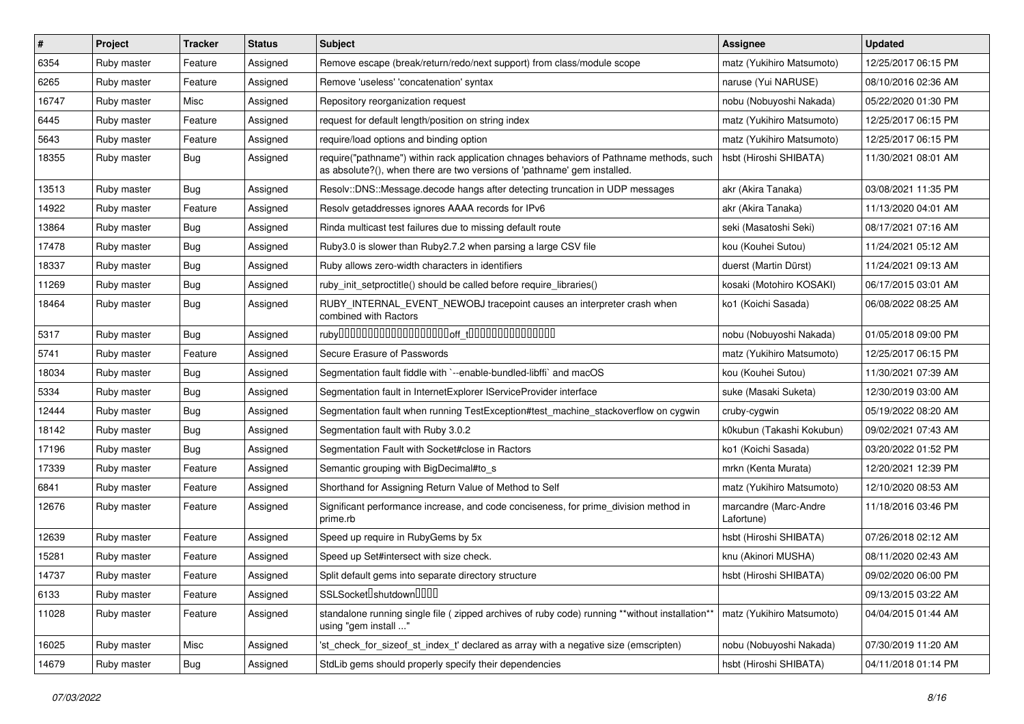| #     | Project     | <b>Tracker</b> | <b>Status</b> | Subject                                                                                                                                                             | <b>Assignee</b>                     | <b>Updated</b>      |
|-------|-------------|----------------|---------------|---------------------------------------------------------------------------------------------------------------------------------------------------------------------|-------------------------------------|---------------------|
| 6354  | Ruby master | Feature        | Assigned      | Remove escape (break/return/redo/next support) from class/module scope                                                                                              | matz (Yukihiro Matsumoto)           | 12/25/2017 06:15 PM |
| 6265  | Ruby master | Feature        | Assigned      | Remove 'useless' 'concatenation' syntax                                                                                                                             | naruse (Yui NARUSE)                 | 08/10/2016 02:36 AM |
| 16747 | Ruby master | Misc           | Assigned      | Repository reorganization request                                                                                                                                   | nobu (Nobuyoshi Nakada)             | 05/22/2020 01:30 PM |
| 6445  | Ruby master | Feature        | Assigned      | request for default length/position on string index                                                                                                                 | matz (Yukihiro Matsumoto)           | 12/25/2017 06:15 PM |
| 5643  | Ruby master | Feature        | Assigned      | require/load options and binding option                                                                                                                             | matz (Yukihiro Matsumoto)           | 12/25/2017 06:15 PM |
| 18355 | Ruby master | <b>Bug</b>     | Assigned      | require("pathname") within rack application chnages behaviors of Pathname methods, such<br>as absolute?(), when there are two versions of 'pathname' gem installed. | hsbt (Hiroshi SHIBATA)              | 11/30/2021 08:01 AM |
| 13513 | Ruby master | Bug            | Assigned      | Resolv::DNS::Message.decode hangs after detecting truncation in UDP messages                                                                                        | akr (Akira Tanaka)                  | 03/08/2021 11:35 PM |
| 14922 | Ruby master | Feature        | Assigned      | Resolv getaddresses ignores AAAA records for IPv6                                                                                                                   | akr (Akira Tanaka)                  | 11/13/2020 04:01 AM |
| 13864 | Ruby master | <b>Bug</b>     | Assigned      | Rinda multicast test failures due to missing default route                                                                                                          | seki (Masatoshi Seki)               | 08/17/2021 07:16 AM |
| 17478 | Ruby master | Bug            | Assigned      | Ruby3.0 is slower than Ruby2.7.2 when parsing a large CSV file                                                                                                      | kou (Kouhei Sutou)                  | 11/24/2021 05:12 AM |
| 18337 | Ruby master | Bug            | Assigned      | Ruby allows zero-width characters in identifiers                                                                                                                    | duerst (Martin Dürst)               | 11/24/2021 09:13 AM |
| 11269 | Ruby master | Bug            | Assigned      | ruby init setproctitle() should be called before require libraries()                                                                                                | kosaki (Motohiro KOSAKI)            | 06/17/2015 03:01 AM |
| 18464 | Ruby master | Bug            | Assigned      | RUBY_INTERNAL_EVENT_NEWOBJ tracepoint causes an interpreter crash when<br>combined with Ractors                                                                     | ko1 (Koichi Sasada)                 | 06/08/2022 08:25 AM |
| 5317  | Ruby master | Bug            | Assigned      |                                                                                                                                                                     | nobu (Nobuyoshi Nakada)             | 01/05/2018 09:00 PM |
| 5741  | Ruby master | Feature        | Assigned      | Secure Erasure of Passwords                                                                                                                                         | matz (Yukihiro Matsumoto)           | 12/25/2017 06:15 PM |
| 18034 | Ruby master | Bug            | Assigned      | Segmentation fault fiddle with `--enable-bundled-libffi` and macOS                                                                                                  | kou (Kouhei Sutou)                  | 11/30/2021 07:39 AM |
| 5334  | Ruby master | Bug            | Assigned      | Segmentation fault in InternetExplorer IServiceProvider interface                                                                                                   | suke (Masaki Suketa)                | 12/30/2019 03:00 AM |
| 12444 | Ruby master | Bug            | Assigned      | Segmentation fault when running TestException#test_machine_stackoverflow on cygwin                                                                                  | cruby-cygwin                        | 05/19/2022 08:20 AM |
| 18142 | Ruby master | Bug            | Assigned      | Segmentation fault with Ruby 3.0.2                                                                                                                                  | k0kubun (Takashi Kokubun)           | 09/02/2021 07:43 AM |
| 17196 | Ruby master | Bug            | Assigned      | Segmentation Fault with Socket#close in Ractors                                                                                                                     | ko1 (Koichi Sasada)                 | 03/20/2022 01:52 PM |
| 17339 | Ruby master | Feature        | Assigned      | Semantic grouping with BigDecimal#to_s                                                                                                                              | mrkn (Kenta Murata)                 | 12/20/2021 12:39 PM |
| 6841  | Ruby master | Feature        | Assigned      | Shorthand for Assigning Return Value of Method to Self                                                                                                              | matz (Yukihiro Matsumoto)           | 12/10/2020 08:53 AM |
| 12676 | Ruby master | Feature        | Assigned      | Significant performance increase, and code conciseness, for prime division method in<br>prime.rb                                                                    | marcandre (Marc-Andre<br>Lafortune) | 11/18/2016 03:46 PM |
| 12639 | Ruby master | Feature        | Assigned      | Speed up require in RubyGems by 5x                                                                                                                                  | hsbt (Hiroshi SHIBATA)              | 07/26/2018 02:12 AM |
| 15281 | Ruby master | Feature        | Assigned      | Speed up Set#intersect with size check.                                                                                                                             | knu (Akinori MUSHA)                 | 08/11/2020 02:43 AM |
| 14737 | Ruby master | Feature        | Assigned      | Split default gems into separate directory structure                                                                                                                | hsbt (Hiroshi SHIBATA)              | 09/02/2020 06:00 PM |
| 6133  | Ruby master | Feature        | Assigned      | SSLSocketDshutdownDDDD                                                                                                                                              |                                     | 09/13/2015 03:22 AM |
| 11028 | Ruby master | Feature        | Assigned      | standalone running single file ( zipped archives of ruby code) running **without installation**<br>using "gem install "                                             | matz (Yukihiro Matsumoto)           | 04/04/2015 01:44 AM |
| 16025 | Ruby master | Misc           | Assigned      | 'st_check_for_sizeof_st_index_t' declared as array with a negative size (emscripten)                                                                                | nobu (Nobuyoshi Nakada)             | 07/30/2019 11:20 AM |
| 14679 | Ruby master | <b>Bug</b>     | Assigned      | StdLib gems should properly specify their dependencies                                                                                                              | hsbt (Hiroshi SHIBATA)              | 04/11/2018 01:14 PM |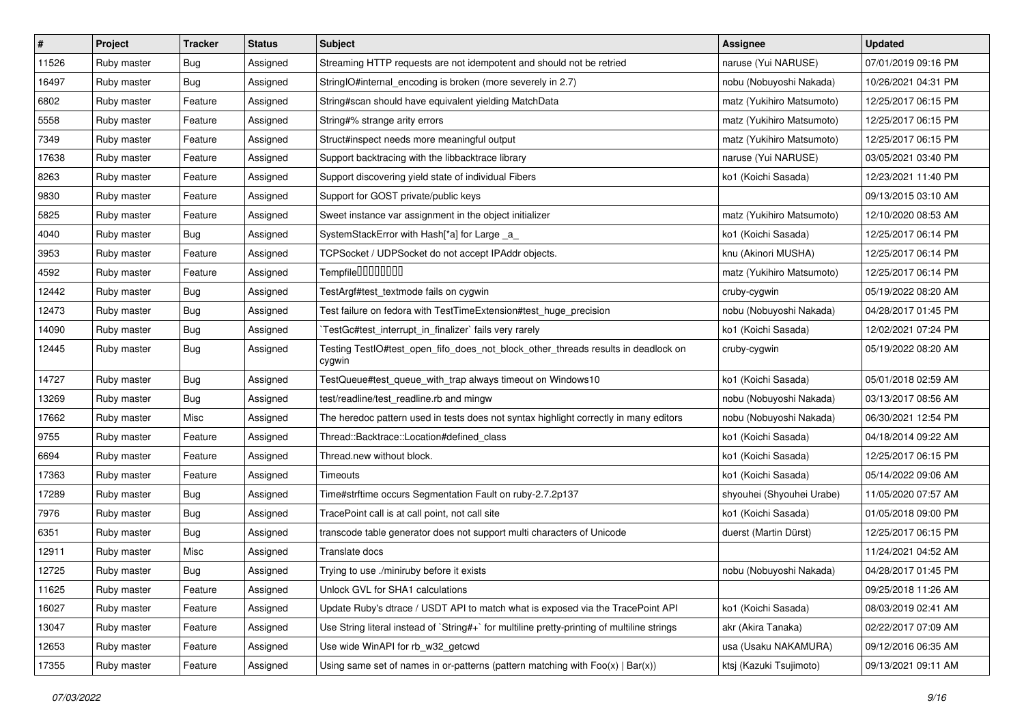| $\sharp$ | Project     | <b>Tracker</b> | <b>Status</b> | Subject                                                                                     | <b>Assignee</b>           | <b>Updated</b>      |
|----------|-------------|----------------|---------------|---------------------------------------------------------------------------------------------|---------------------------|---------------------|
| 11526    | Ruby master | Bug            | Assigned      | Streaming HTTP requests are not idempotent and should not be retried                        | naruse (Yui NARUSE)       | 07/01/2019 09:16 PM |
| 16497    | Ruby master | <b>Bug</b>     | Assigned      | StringIO#internal_encoding is broken (more severely in 2.7)                                 | nobu (Nobuyoshi Nakada)   | 10/26/2021 04:31 PM |
| 6802     | Ruby master | Feature        | Assigned      | String#scan should have equivalent yielding MatchData                                       | matz (Yukihiro Matsumoto) | 12/25/2017 06:15 PM |
| 5558     | Ruby master | Feature        | Assigned      | String#% strange arity errors                                                               | matz (Yukihiro Matsumoto) | 12/25/2017 06:15 PM |
| 7349     | Ruby master | Feature        | Assigned      | Struct#inspect needs more meaningful output                                                 | matz (Yukihiro Matsumoto) | 12/25/2017 06:15 PM |
| 17638    | Ruby master | Feature        | Assigned      | Support backtracing with the libbacktrace library                                           | naruse (Yui NARUSE)       | 03/05/2021 03:40 PM |
| 8263     | Ruby master | Feature        | Assigned      | Support discovering yield state of individual Fibers                                        | ko1 (Koichi Sasada)       | 12/23/2021 11:40 PM |
| 9830     | Ruby master | Feature        | Assigned      | Support for GOST private/public keys                                                        |                           | 09/13/2015 03:10 AM |
| 5825     | Ruby master | Feature        | Assigned      | Sweet instance var assignment in the object initializer                                     | matz (Yukihiro Matsumoto) | 12/10/2020 08:53 AM |
| 4040     | Ruby master | <b>Bug</b>     | Assigned      | SystemStackError with Hash[*a] for Large _a_                                                | ko1 (Koichi Sasada)       | 12/25/2017 06:14 PM |
| 3953     | Ruby master | Feature        | Assigned      | TCPSocket / UDPSocket do not accept IPAddr objects.                                         | knu (Akinori MUSHA)       | 12/25/2017 06:14 PM |
| 4592     | Ruby master | Feature        | Assigned      | Tempfile0000000                                                                             | matz (Yukihiro Matsumoto) | 12/25/2017 06:14 PM |
| 12442    | Ruby master | <b>Bug</b>     | Assigned      | TestArgf#test_textmode fails on cygwin                                                      | cruby-cygwin              | 05/19/2022 08:20 AM |
| 12473    | Ruby master | Bug            | Assigned      | Test failure on fedora with TestTimeExtension#test_huge_precision                           | nobu (Nobuyoshi Nakada)   | 04/28/2017 01:45 PM |
| 14090    | Ruby master | <b>Bug</b>     | Assigned      | TestGc#test_interrupt_in_finalizer` fails very rarely                                       | ko1 (Koichi Sasada)       | 12/02/2021 07:24 PM |
| 12445    | Ruby master | <b>Bug</b>     | Assigned      | Testing TestlO#test_open_fifo_does_not_block_other_threads results in deadlock on<br>cygwin | cruby-cygwin              | 05/19/2022 08:20 AM |
| 14727    | Ruby master | <b>Bug</b>     | Assigned      | TestQueue#test_queue_with_trap always timeout on Windows10                                  | ko1 (Koichi Sasada)       | 05/01/2018 02:59 AM |
| 13269    | Ruby master | <b>Bug</b>     | Assigned      | test/readline/test_readline.rb and mingw                                                    | nobu (Nobuyoshi Nakada)   | 03/13/2017 08:56 AM |
| 17662    | Ruby master | Misc           | Assigned      | The heredoc pattern used in tests does not syntax highlight correctly in many editors       | nobu (Nobuyoshi Nakada)   | 06/30/2021 12:54 PM |
| 9755     | Ruby master | Feature        | Assigned      | Thread::Backtrace::Location#defined class                                                   | ko1 (Koichi Sasada)       | 04/18/2014 09:22 AM |
| 6694     | Ruby master | Feature        | Assigned      | Thread.new without block.                                                                   | ko1 (Koichi Sasada)       | 12/25/2017 06:15 PM |
| 17363    | Ruby master | Feature        | Assigned      | Timeouts                                                                                    | ko1 (Koichi Sasada)       | 05/14/2022 09:06 AM |
| 17289    | Ruby master | Bug            | Assigned      | Time#strftime occurs Segmentation Fault on ruby-2.7.2p137                                   | shyouhei (Shyouhei Urabe) | 11/05/2020 07:57 AM |
| 7976     | Ruby master | Bug            | Assigned      | TracePoint call is at call point, not call site                                             | ko1 (Koichi Sasada)       | 01/05/2018 09:00 PM |
| 6351     | Ruby master | <b>Bug</b>     | Assigned      | transcode table generator does not support multi characters of Unicode                      | duerst (Martin Dürst)     | 12/25/2017 06:15 PM |
| 12911    | Ruby master | Misc           | Assigned      | Translate docs                                                                              |                           | 11/24/2021 04:52 AM |
| 12725    | Ruby master | Bug            | Assigned      | Trying to use ./miniruby before it exists                                                   | nobu (Nobuyoshi Nakada)   | 04/28/2017 01:45 PM |
| 11625    | Ruby master | Feature        | Assigned      | Unlock GVL for SHA1 calculations                                                            |                           | 09/25/2018 11:26 AM |
| 16027    | Ruby master | Feature        | Assigned      | Update Ruby's dtrace / USDT API to match what is exposed via the TracePoint API             | ko1 (Koichi Sasada)       | 08/03/2019 02:41 AM |
| 13047    | Ruby master | Feature        | Assigned      | Use String literal instead of `String#+` for multiline pretty-printing of multiline strings | akr (Akira Tanaka)        | 02/22/2017 07:09 AM |
| 12653    | Ruby master | Feature        | Assigned      | Use wide WinAPI for rb w32 getcwd                                                           | usa (Usaku NAKAMURA)      | 09/12/2016 06:35 AM |
| 17355    | Ruby master | Feature        | Assigned      | Using same set of names in or-patterns (pattern matching with $Foo(x)   Bar(x)$ )           | ktsj (Kazuki Tsujimoto)   | 09/13/2021 09:11 AM |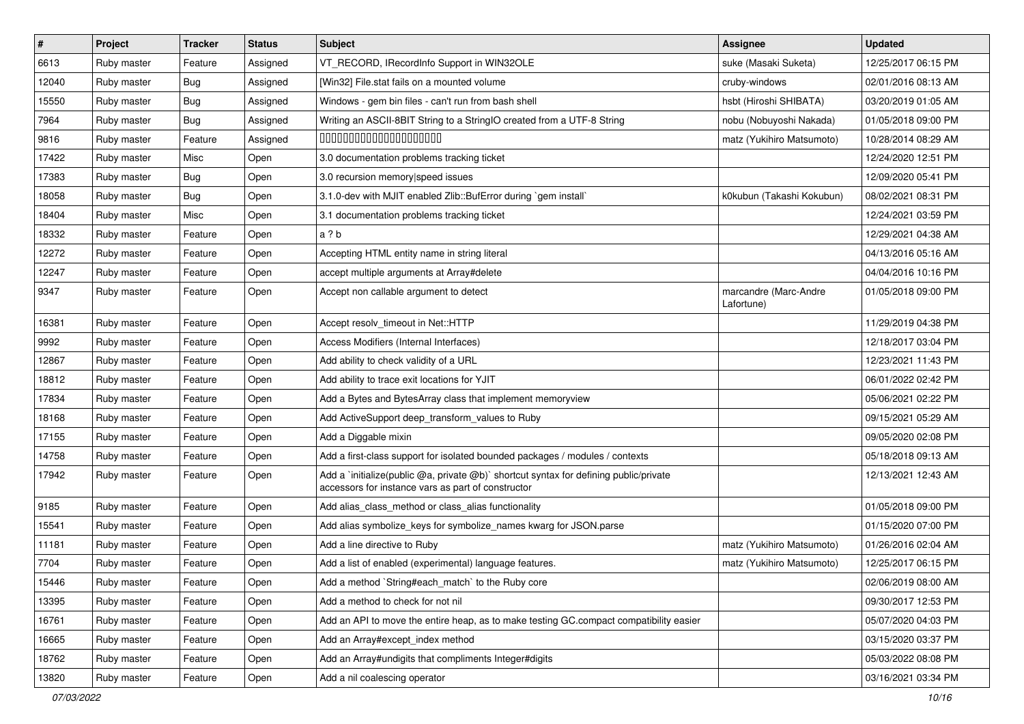| $\vert$ # | Project     | <b>Tracker</b> | <b>Status</b> | <b>Subject</b>                                                                                                                              | <b>Assignee</b>                     | <b>Updated</b>      |
|-----------|-------------|----------------|---------------|---------------------------------------------------------------------------------------------------------------------------------------------|-------------------------------------|---------------------|
| 6613      | Ruby master | Feature        | Assigned      | VT_RECORD, IRecordInfo Support in WIN32OLE                                                                                                  | suke (Masaki Suketa)                | 12/25/2017 06:15 PM |
| 12040     | Ruby master | <b>Bug</b>     | Assigned      | [Win32] File.stat fails on a mounted volume                                                                                                 | cruby-windows                       | 02/01/2016 08:13 AM |
| 15550     | Ruby master | <b>Bug</b>     | Assigned      | Windows - gem bin files - can't run from bash shell                                                                                         | hsbt (Hiroshi SHIBATA)              | 03/20/2019 01:05 AM |
| 7964      | Ruby master | <b>Bug</b>     | Assigned      | Writing an ASCII-8BIT String to a StringIO created from a UTF-8 String                                                                      | nobu (Nobuyoshi Nakada)             | 01/05/2018 09:00 PM |
| 9816      | Ruby master | Feature        | Assigned      | 00000000000000000000                                                                                                                        | matz (Yukihiro Matsumoto)           | 10/28/2014 08:29 AM |
| 17422     | Ruby master | Misc           | Open          | 3.0 documentation problems tracking ticket                                                                                                  |                                     | 12/24/2020 12:51 PM |
| 17383     | Ruby master | <b>Bug</b>     | Open          | 3.0 recursion memory speed issues                                                                                                           |                                     | 12/09/2020 05:41 PM |
| 18058     | Ruby master | <b>Bug</b>     | Open          | 3.1.0-dev with MJIT enabled Zlib::BufError during `gem install`                                                                             | k0kubun (Takashi Kokubun)           | 08/02/2021 08:31 PM |
| 18404     | Ruby master | Misc           | Open          | 3.1 documentation problems tracking ticket                                                                                                  |                                     | 12/24/2021 03:59 PM |
| 18332     | Ruby master | Feature        | Open          | a ? b                                                                                                                                       |                                     | 12/29/2021 04:38 AM |
| 12272     | Ruby master | Feature        | Open          | Accepting HTML entity name in string literal                                                                                                |                                     | 04/13/2016 05:16 AM |
| 12247     | Ruby master | Feature        | Open          | accept multiple arguments at Array#delete                                                                                                   |                                     | 04/04/2016 10:16 PM |
| 9347      | Ruby master | Feature        | Open          | Accept non callable argument to detect                                                                                                      | marcandre (Marc-Andre<br>Lafortune) | 01/05/2018 09:00 PM |
| 16381     | Ruby master | Feature        | Open          | Accept resolv_timeout in Net::HTTP                                                                                                          |                                     | 11/29/2019 04:38 PM |
| 9992      | Ruby master | Feature        | Open          | Access Modifiers (Internal Interfaces)                                                                                                      |                                     | 12/18/2017 03:04 PM |
| 12867     | Ruby master | Feature        | Open          | Add ability to check validity of a URL                                                                                                      |                                     | 12/23/2021 11:43 PM |
| 18812     | Ruby master | Feature        | Open          | Add ability to trace exit locations for YJIT                                                                                                |                                     | 06/01/2022 02:42 PM |
| 17834     | Ruby master | Feature        | Open          | Add a Bytes and BytesArray class that implement memoryview                                                                                  |                                     | 05/06/2021 02:22 PM |
| 18168     | Ruby master | Feature        | Open          | Add ActiveSupport deep_transform_values to Ruby                                                                                             |                                     | 09/15/2021 05:29 AM |
| 17155     | Ruby master | Feature        | Open          | Add a Diggable mixin                                                                                                                        |                                     | 09/05/2020 02:08 PM |
| 14758     | Ruby master | Feature        | Open          | Add a first-class support for isolated bounded packages / modules / contexts                                                                |                                     | 05/18/2018 09:13 AM |
| 17942     | Ruby master | Feature        | Open          | Add a `initialize(public @a, private @b)` shortcut syntax for defining public/private<br>accessors for instance vars as part of constructor |                                     | 12/13/2021 12:43 AM |
| 9185      | Ruby master | Feature        | Open          | Add alias_class_method or class_alias functionality                                                                                         |                                     | 01/05/2018 09:00 PM |
| 15541     | Ruby master | Feature        | Open          | Add alias symbolize_keys for symbolize_names kwarg for JSON.parse                                                                           |                                     | 01/15/2020 07:00 PM |
| 11181     | Ruby master | Feature        | Open          | Add a line directive to Ruby                                                                                                                | matz (Yukihiro Matsumoto)           | 01/26/2016 02:04 AM |
| 7704      | Ruby master | Feature        | Open          | Add a list of enabled (experimental) language features.                                                                                     | matz (Yukihiro Matsumoto)           | 12/25/2017 06:15 PM |
| 15446     | Ruby master | Feature        | Open          | Add a method `String#each_match` to the Ruby core                                                                                           |                                     | 02/06/2019 08:00 AM |
| 13395     | Ruby master | Feature        | Open          | Add a method to check for not nil                                                                                                           |                                     | 09/30/2017 12:53 PM |
| 16761     | Ruby master | Feature        | Open          | Add an API to move the entire heap, as to make testing GC.compact compatibility easier                                                      |                                     | 05/07/2020 04:03 PM |
| 16665     | Ruby master | Feature        | Open          | Add an Array#except_index method                                                                                                            |                                     | 03/15/2020 03:37 PM |
| 18762     | Ruby master | Feature        | Open          | Add an Array#undigits that compliments Integer#digits                                                                                       |                                     | 05/03/2022 08:08 PM |
| 13820     | Ruby master | Feature        | Open          | Add a nil coalescing operator                                                                                                               |                                     | 03/16/2021 03:34 PM |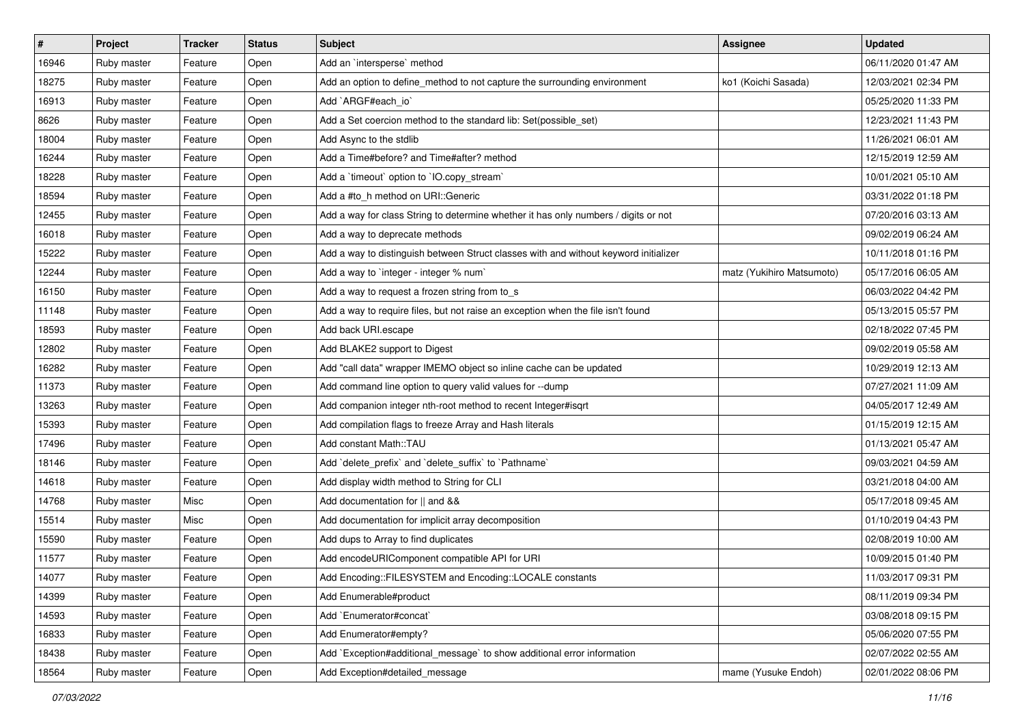| $\vert$ # | Project     | <b>Tracker</b> | <b>Status</b> | <b>Subject</b>                                                                       | <b>Assignee</b>           | <b>Updated</b>      |
|-----------|-------------|----------------|---------------|--------------------------------------------------------------------------------------|---------------------------|---------------------|
| 16946     | Ruby master | Feature        | Open          | Add an `intersperse` method                                                          |                           | 06/11/2020 01:47 AM |
| 18275     | Ruby master | Feature        | Open          | Add an option to define_method to not capture the surrounding environment            | ko1 (Koichi Sasada)       | 12/03/2021 02:34 PM |
| 16913     | Ruby master | Feature        | Open          | Add `ARGF#each_io`                                                                   |                           | 05/25/2020 11:33 PM |
| 8626      | Ruby master | Feature        | Open          | Add a Set coercion method to the standard lib: Set(possible_set)                     |                           | 12/23/2021 11:43 PM |
| 18004     | Ruby master | Feature        | Open          | Add Async to the stdlib                                                              |                           | 11/26/2021 06:01 AM |
| 16244     | Ruby master | Feature        | Open          | Add a Time#before? and Time#after? method                                            |                           | 12/15/2019 12:59 AM |
| 18228     | Ruby master | Feature        | Open          | Add a 'timeout' option to 'IO.copy_stream'                                           |                           | 10/01/2021 05:10 AM |
| 18594     | Ruby master | Feature        | Open          | Add a #to_h method on URI::Generic                                                   |                           | 03/31/2022 01:18 PM |
| 12455     | Ruby master | Feature        | Open          | Add a way for class String to determine whether it has only numbers / digits or not  |                           | 07/20/2016 03:13 AM |
| 16018     | Ruby master | Feature        | Open          | Add a way to deprecate methods                                                       |                           | 09/02/2019 06:24 AM |
| 15222     | Ruby master | Feature        | Open          | Add a way to distinguish between Struct classes with and without keyword initializer |                           | 10/11/2018 01:16 PM |
| 12244     | Ruby master | Feature        | Open          | Add a way to `integer - integer % num`                                               | matz (Yukihiro Matsumoto) | 05/17/2016 06:05 AM |
| 16150     | Ruby master | Feature        | Open          | Add a way to request a frozen string from to s                                       |                           | 06/03/2022 04:42 PM |
| 11148     | Ruby master | Feature        | Open          | Add a way to require files, but not raise an exception when the file isn't found     |                           | 05/13/2015 05:57 PM |
| 18593     | Ruby master | Feature        | Open          | Add back URI.escape                                                                  |                           | 02/18/2022 07:45 PM |
| 12802     | Ruby master | Feature        | Open          | Add BLAKE2 support to Digest                                                         |                           | 09/02/2019 05:58 AM |
| 16282     | Ruby master | Feature        | Open          | Add "call data" wrapper IMEMO object so inline cache can be updated                  |                           | 10/29/2019 12:13 AM |
| 11373     | Ruby master | Feature        | Open          | Add command line option to query valid values for --dump                             |                           | 07/27/2021 11:09 AM |
| 13263     | Ruby master | Feature        | Open          | Add companion integer nth-root method to recent Integer#isqrt                        |                           | 04/05/2017 12:49 AM |
| 15393     | Ruby master | Feature        | Open          | Add compilation flags to freeze Array and Hash literals                              |                           | 01/15/2019 12:15 AM |
| 17496     | Ruby master | Feature        | Open          | Add constant Math::TAU                                                               |                           | 01/13/2021 05:47 AM |
| 18146     | Ruby master | Feature        | Open          | Add `delete_prefix` and `delete_suffix` to `Pathname`                                |                           | 09/03/2021 04:59 AM |
| 14618     | Ruby master | Feature        | Open          | Add display width method to String for CLI                                           |                           | 03/21/2018 04:00 AM |
| 14768     | Ruby master | Misc           | Open          | Add documentation for    and &&                                                      |                           | 05/17/2018 09:45 AM |
| 15514     | Ruby master | Misc           | Open          | Add documentation for implicit array decomposition                                   |                           | 01/10/2019 04:43 PM |
| 15590     | Ruby master | Feature        | Open          | Add dups to Array to find duplicates                                                 |                           | 02/08/2019 10:00 AM |
| 11577     | Ruby master | Feature        | Open          | Add encodeURIComponent compatible API for URI                                        |                           | 10/09/2015 01:40 PM |
| 14077     | Ruby master | Feature        | Open          | Add Encoding::FILESYSTEM and Encoding::LOCALE constants                              |                           | 11/03/2017 09:31 PM |
| 14399     | Ruby master | Feature        | Open          | Add Enumerable#product                                                               |                           | 08/11/2019 09:34 PM |
| 14593     | Ruby master | Feature        | Open          | Add `Enumerator#concat`                                                              |                           | 03/08/2018 09:15 PM |
| 16833     | Ruby master | Feature        | Open          | Add Enumerator#empty?                                                                |                           | 05/06/2020 07:55 PM |
| 18438     | Ruby master | Feature        | Open          | Add `Exception#additional_message` to show additional error information              |                           | 02/07/2022 02:55 AM |
| 18564     | Ruby master | Feature        | Open          | Add Exception#detailed_message                                                       | mame (Yusuke Endoh)       | 02/01/2022 08:06 PM |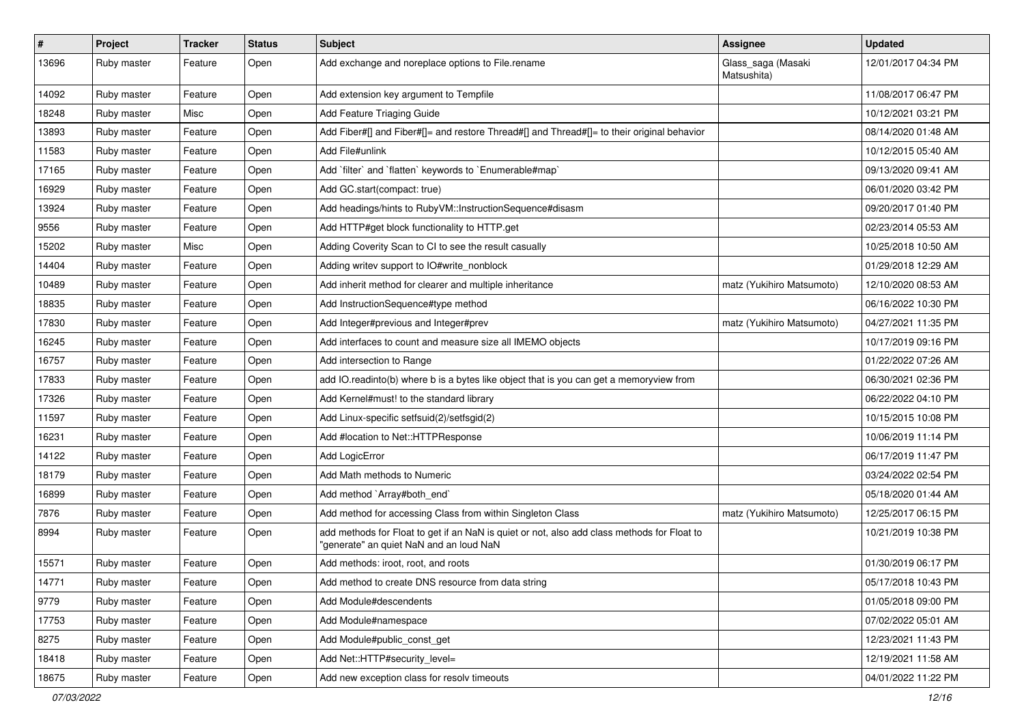| #     | Project     | <b>Tracker</b> | <b>Status</b> | Subject                                                                                                                                | <b>Assignee</b>                   | <b>Updated</b>      |
|-------|-------------|----------------|---------------|----------------------------------------------------------------------------------------------------------------------------------------|-----------------------------------|---------------------|
| 13696 | Ruby master | Feature        | Open          | Add exchange and noreplace options to File.rename                                                                                      | Glass_saga (Masaki<br>Matsushita) | 12/01/2017 04:34 PM |
| 14092 | Ruby master | Feature        | Open          | Add extension key argument to Tempfile                                                                                                 |                                   | 11/08/2017 06:47 PM |
| 18248 | Ruby master | Misc           | Open          | Add Feature Triaging Guide                                                                                                             |                                   | 10/12/2021 03:21 PM |
| 13893 | Ruby master | Feature        | Open          | Add Fiber#[] and Fiber#[]= and restore Thread#[] and Thread#[]= to their original behavior                                             |                                   | 08/14/2020 01:48 AM |
| 11583 | Ruby master | Feature        | Open          | Add File#unlink                                                                                                                        |                                   | 10/12/2015 05:40 AM |
| 17165 | Ruby master | Feature        | Open          | Add 'filter' and 'flatten' keywords to 'Enumerable#map'                                                                                |                                   | 09/13/2020 09:41 AM |
| 16929 | Ruby master | Feature        | Open          | Add GC.start(compact: true)                                                                                                            |                                   | 06/01/2020 03:42 PM |
| 13924 | Ruby master | Feature        | Open          | Add headings/hints to RubyVM::InstructionSequence#disasm                                                                               |                                   | 09/20/2017 01:40 PM |
| 9556  | Ruby master | Feature        | Open          | Add HTTP#get block functionality to HTTP.get                                                                                           |                                   | 02/23/2014 05:53 AM |
| 15202 | Ruby master | Misc           | Open          | Adding Coverity Scan to CI to see the result casually                                                                                  |                                   | 10/25/2018 10:50 AM |
| 14404 | Ruby master | Feature        | Open          | Adding writev support to IO#write_nonblock                                                                                             |                                   | 01/29/2018 12:29 AM |
| 10489 | Ruby master | Feature        | Open          | Add inherit method for clearer and multiple inheritance                                                                                | matz (Yukihiro Matsumoto)         | 12/10/2020 08:53 AM |
| 18835 | Ruby master | Feature        | Open          | Add InstructionSequence#type method                                                                                                    |                                   | 06/16/2022 10:30 PM |
| 17830 | Ruby master | Feature        | Open          | Add Integer#previous and Integer#prev                                                                                                  | matz (Yukihiro Matsumoto)         | 04/27/2021 11:35 PM |
| 16245 | Ruby master | Feature        | Open          | Add interfaces to count and measure size all IMEMO objects                                                                             |                                   | 10/17/2019 09:16 PM |
| 16757 | Ruby master | Feature        | Open          | Add intersection to Range                                                                                                              |                                   | 01/22/2022 07:26 AM |
| 17833 | Ruby master | Feature        | Open          | add IO.readinto(b) where b is a bytes like object that is you can get a memoryview from                                                |                                   | 06/30/2021 02:36 PM |
| 17326 | Ruby master | Feature        | Open          | Add Kernel#must! to the standard library                                                                                               |                                   | 06/22/2022 04:10 PM |
| 11597 | Ruby master | Feature        | Open          | Add Linux-specific setfsuid(2)/setfsgid(2)                                                                                             |                                   | 10/15/2015 10:08 PM |
| 16231 | Ruby master | Feature        | Open          | Add #location to Net::HTTPResponse                                                                                                     |                                   | 10/06/2019 11:14 PM |
| 14122 | Ruby master | Feature        | Open          | Add LogicError                                                                                                                         |                                   | 06/17/2019 11:47 PM |
| 18179 | Ruby master | Feature        | Open          | Add Math methods to Numeric                                                                                                            |                                   | 03/24/2022 02:54 PM |
| 16899 | Ruby master | Feature        | Open          | Add method `Array#both end`                                                                                                            |                                   | 05/18/2020 01:44 AM |
| 7876  | Ruby master | Feature        | Open          | Add method for accessing Class from within Singleton Class                                                                             | matz (Yukihiro Matsumoto)         | 12/25/2017 06:15 PM |
| 8994  | Ruby master | Feature        | Open          | add methods for Float to get if an NaN is quiet or not, also add class methods for Float to<br>"generate" an quiet NaN and an loud NaN |                                   | 10/21/2019 10:38 PM |
| 15571 | Ruby master | Feature        | Open          | Add methods: iroot, root, and roots                                                                                                    |                                   | 01/30/2019 06:17 PM |
| 14771 | Ruby master | Feature        | Open          | Add method to create DNS resource from data string                                                                                     |                                   | 05/17/2018 10:43 PM |
| 9779  | Ruby master | Feature        | Open          | Add Module#descendents                                                                                                                 |                                   | 01/05/2018 09:00 PM |
| 17753 | Ruby master | Feature        | Open          | Add Module#namespace                                                                                                                   |                                   | 07/02/2022 05:01 AM |
| 8275  | Ruby master | Feature        | Open          | Add Module#public const get                                                                                                            |                                   | 12/23/2021 11:43 PM |
| 18418 | Ruby master | Feature        | Open          | Add Net::HTTP#security_level=                                                                                                          |                                   | 12/19/2021 11:58 AM |
| 18675 | Ruby master | Feature        | Open          | Add new exception class for resolv timeouts                                                                                            |                                   | 04/01/2022 11:22 PM |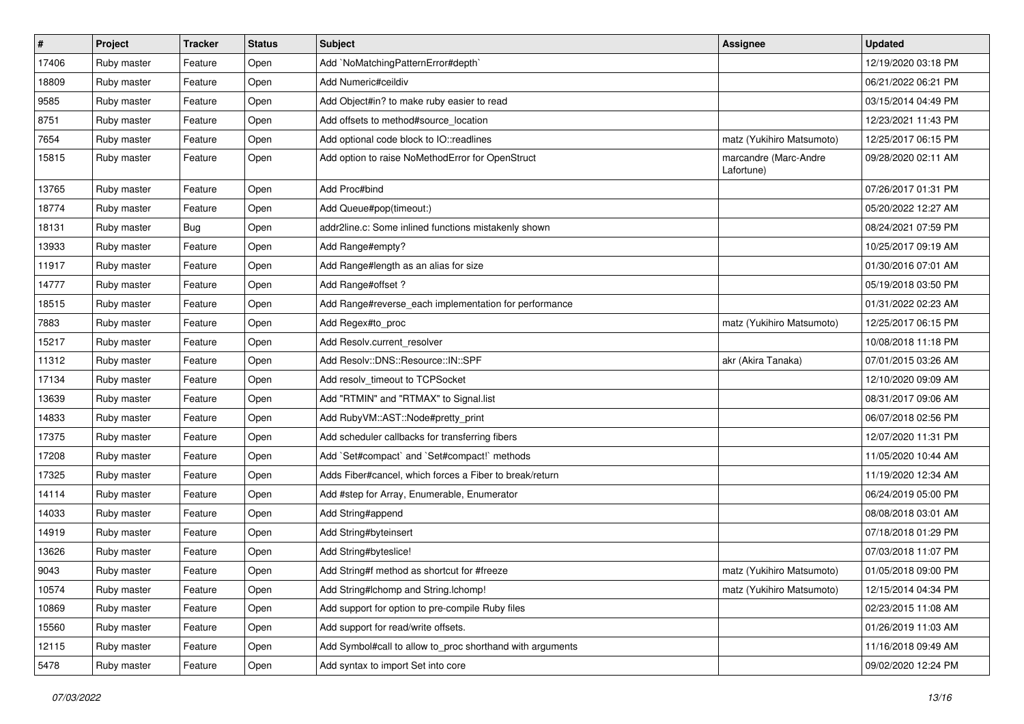| $\sharp$ | Project     | <b>Tracker</b> | <b>Status</b> | <b>Subject</b>                                            | <b>Assignee</b>                     | <b>Updated</b>      |
|----------|-------------|----------------|---------------|-----------------------------------------------------------|-------------------------------------|---------------------|
| 17406    | Ruby master | Feature        | Open          | Add `NoMatchingPatternError#depth`                        |                                     | 12/19/2020 03:18 PM |
| 18809    | Ruby master | Feature        | Open          | Add Numeric#ceildiv                                       |                                     | 06/21/2022 06:21 PM |
| 9585     | Ruby master | Feature        | Open          | Add Object#in? to make ruby easier to read                |                                     | 03/15/2014 04:49 PM |
| 8751     | Ruby master | Feature        | Open          | Add offsets to method#source location                     |                                     | 12/23/2021 11:43 PM |
| 7654     | Ruby master | Feature        | Open          | Add optional code block to IO::readlines                  | matz (Yukihiro Matsumoto)           | 12/25/2017 06:15 PM |
| 15815    | Ruby master | Feature        | Open          | Add option to raise NoMethodError for OpenStruct          | marcandre (Marc-Andre<br>Lafortune) | 09/28/2020 02:11 AM |
| 13765    | Ruby master | Feature        | Open          | Add Proc#bind                                             |                                     | 07/26/2017 01:31 PM |
| 18774    | Ruby master | Feature        | Open          | Add Queue#pop(timeout:)                                   |                                     | 05/20/2022 12:27 AM |
| 18131    | Ruby master | <b>Bug</b>     | Open          | addr2line.c: Some inlined functions mistakenly shown      |                                     | 08/24/2021 07:59 PM |
| 13933    | Ruby master | Feature        | Open          | Add Range#empty?                                          |                                     | 10/25/2017 09:19 AM |
| 11917    | Ruby master | Feature        | Open          | Add Range#length as an alias for size                     |                                     | 01/30/2016 07:01 AM |
| 14777    | Ruby master | Feature        | Open          | Add Range#offset?                                         |                                     | 05/19/2018 03:50 PM |
| 18515    | Ruby master | Feature        | Open          | Add Range#reverse_each implementation for performance     |                                     | 01/31/2022 02:23 AM |
| 7883     | Ruby master | Feature        | Open          | Add Regex#to_proc                                         | matz (Yukihiro Matsumoto)           | 12/25/2017 06:15 PM |
| 15217    | Ruby master | Feature        | Open          | Add Resolv.current resolver                               |                                     | 10/08/2018 11:18 PM |
| 11312    | Ruby master | Feature        | Open          | Add Resolv::DNS::Resource::IN::SPF                        | akr (Akira Tanaka)                  | 07/01/2015 03:26 AM |
| 17134    | Ruby master | Feature        | Open          | Add resolv_timeout to TCPSocket                           |                                     | 12/10/2020 09:09 AM |
| 13639    | Ruby master | Feature        | Open          | Add "RTMIN" and "RTMAX" to Signal.list                    |                                     | 08/31/2017 09:06 AM |
| 14833    | Ruby master | Feature        | Open          | Add RubyVM::AST::Node#pretty_print                        |                                     | 06/07/2018 02:56 PM |
| 17375    | Ruby master | Feature        | Open          | Add scheduler callbacks for transferring fibers           |                                     | 12/07/2020 11:31 PM |
| 17208    | Ruby master | Feature        | Open          | Add `Set#compact` and `Set#compact!` methods              |                                     | 11/05/2020 10:44 AM |
| 17325    | Ruby master | Feature        | Open          | Adds Fiber#cancel, which forces a Fiber to break/return   |                                     | 11/19/2020 12:34 AM |
| 14114    | Ruby master | Feature        | Open          | Add #step for Array, Enumerable, Enumerator               |                                     | 06/24/2019 05:00 PM |
| 14033    | Ruby master | Feature        | Open          | Add String#append                                         |                                     | 08/08/2018 03:01 AM |
| 14919    | Ruby master | Feature        | Open          | Add String#byteinsert                                     |                                     | 07/18/2018 01:29 PM |
| 13626    | Ruby master | Feature        | Open          | Add String#byteslice!                                     |                                     | 07/03/2018 11:07 PM |
| 9043     | Ruby master | Feature        | Open          | Add String#f method as shortcut for #freeze               | matz (Yukihiro Matsumoto)           | 01/05/2018 09:00 PM |
| 10574    | Ruby master | Feature        | Open          | Add String#Ichomp and String.Ichomp!                      | matz (Yukihiro Matsumoto)           | 12/15/2014 04:34 PM |
| 10869    | Ruby master | Feature        | Open          | Add support for option to pre-compile Ruby files          |                                     | 02/23/2015 11:08 AM |
| 15560    | Ruby master | Feature        | Open          | Add support for read/write offsets.                       |                                     | 01/26/2019 11:03 AM |
| 12115    | Ruby master | Feature        | Open          | Add Symbol#call to allow to_proc shorthand with arguments |                                     | 11/16/2018 09:49 AM |
| 5478     | Ruby master | Feature        | Open          | Add syntax to import Set into core                        |                                     | 09/02/2020 12:24 PM |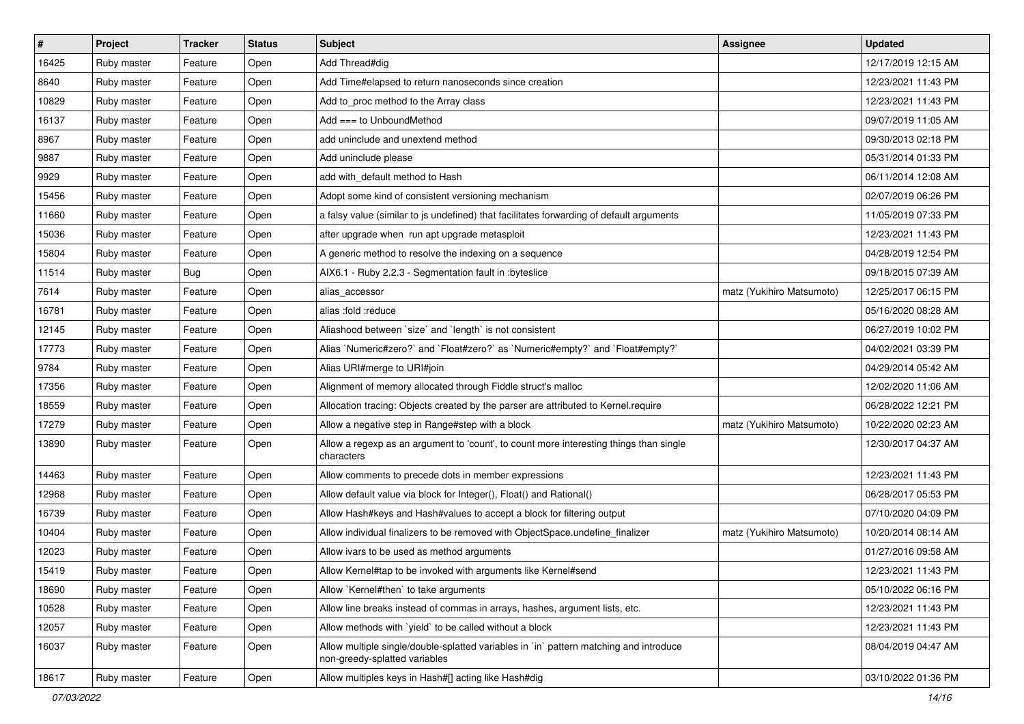| $\vert$ # | Project     | <b>Tracker</b> | <b>Status</b> | Subject                                                                                                                 | <b>Assignee</b>           | <b>Updated</b>      |
|-----------|-------------|----------------|---------------|-------------------------------------------------------------------------------------------------------------------------|---------------------------|---------------------|
| 16425     | Ruby master | Feature        | Open          | Add Thread#dig                                                                                                          |                           | 12/17/2019 12:15 AM |
| 8640      | Ruby master | Feature        | Open          | Add Time#elapsed to return nanoseconds since creation                                                                   |                           | 12/23/2021 11:43 PM |
| 10829     | Ruby master | Feature        | Open          | Add to_proc method to the Array class                                                                                   |                           | 12/23/2021 11:43 PM |
| 16137     | Ruby master | Feature        | Open          | Add $==$ to UnboundMethod                                                                                               |                           | 09/07/2019 11:05 AM |
| 8967      | Ruby master | Feature        | Open          | add uninclude and unextend method                                                                                       |                           | 09/30/2013 02:18 PM |
| 9887      | Ruby master | Feature        | Open          | Add uninclude please                                                                                                    |                           | 05/31/2014 01:33 PM |
| 9929      | Ruby master | Feature        | Open          | add with_default method to Hash                                                                                         |                           | 06/11/2014 12:08 AM |
| 15456     | Ruby master | Feature        | Open          | Adopt some kind of consistent versioning mechanism                                                                      |                           | 02/07/2019 06:26 PM |
| 11660     | Ruby master | Feature        | Open          | a falsy value (similar to js undefined) that facilitates forwarding of default arguments                                |                           | 11/05/2019 07:33 PM |
| 15036     | Ruby master | Feature        | Open          | after upgrade when run apt upgrade metasploit                                                                           |                           | 12/23/2021 11:43 PM |
| 15804     | Ruby master | Feature        | Open          | A generic method to resolve the indexing on a sequence                                                                  |                           | 04/28/2019 12:54 PM |
| 11514     | Ruby master | Bug            | Open          | AIX6.1 - Ruby 2.2.3 - Segmentation fault in : byteslice                                                                 |                           | 09/18/2015 07:39 AM |
| 7614      | Ruby master | Feature        | Open          | alias accessor                                                                                                          | matz (Yukihiro Matsumoto) | 12/25/2017 06:15 PM |
| 16781     | Ruby master | Feature        | Open          | alias :fold :reduce                                                                                                     |                           | 05/16/2020 08:28 AM |
| 12145     | Ruby master | Feature        | Open          | Aliashood between `size` and `length` is not consistent                                                                 |                           | 06/27/2019 10:02 PM |
| 17773     | Ruby master | Feature        | Open          | Alias `Numeric#zero?` and `Float#zero?` as `Numeric#empty?` and `Float#empty?`                                          |                           | 04/02/2021 03:39 PM |
| 9784      | Ruby master | Feature        | Open          | Alias URI#merge to URI#join                                                                                             |                           | 04/29/2014 05:42 AM |
| 17356     | Ruby master | Feature        | Open          | Alignment of memory allocated through Fiddle struct's malloc                                                            |                           | 12/02/2020 11:06 AM |
| 18559     | Ruby master | Feature        | Open          | Allocation tracing: Objects created by the parser are attributed to Kernel.require                                      |                           | 06/28/2022 12:21 PM |
| 17279     | Ruby master | Feature        | Open          | Allow a negative step in Range#step with a block                                                                        | matz (Yukihiro Matsumoto) | 10/22/2020 02:23 AM |
| 13890     | Ruby master | Feature        | Open          | Allow a regexp as an argument to 'count', to count more interesting things than single<br>characters                    |                           | 12/30/2017 04:37 AM |
| 14463     | Ruby master | Feature        | Open          | Allow comments to precede dots in member expressions                                                                    |                           | 12/23/2021 11:43 PM |
| 12968     | Ruby master | Feature        | Open          | Allow default value via block for Integer(), Float() and Rational()                                                     |                           | 06/28/2017 05:53 PM |
| 16739     | Ruby master | Feature        | Open          | Allow Hash#keys and Hash#values to accept a block for filtering output                                                  |                           | 07/10/2020 04:09 PM |
| 10404     | Ruby master | Feature        | Open          | Allow individual finalizers to be removed with ObjectSpace.undefine_finalizer                                           | matz (Yukihiro Matsumoto) | 10/20/2014 08:14 AM |
| 12023     | Ruby master | Feature        | Open          | Allow ivars to be used as method arguments                                                                              |                           | 01/27/2016 09:58 AM |
| 15419     | Ruby master | Feature        | Open          | Allow Kernel#tap to be invoked with arguments like Kernel#send                                                          |                           | 12/23/2021 11:43 PM |
| 18690     | Ruby master | Feature        | Open          | Allow `Kernel#then` to take arguments                                                                                   |                           | 05/10/2022 06:16 PM |
| 10528     | Ruby master | Feature        | Open          | Allow line breaks instead of commas in arrays, hashes, argument lists, etc.                                             |                           | 12/23/2021 11:43 PM |
| 12057     | Ruby master | Feature        | Open          | Allow methods with 'yield' to be called without a block                                                                 |                           | 12/23/2021 11:43 PM |
| 16037     | Ruby master | Feature        | Open          | Allow multiple single/double-splatted variables in `in` pattern matching and introduce<br>non-greedy-splatted variables |                           | 08/04/2019 04:47 AM |
| 18617     | Ruby master | Feature        | Open          | Allow multiples keys in Hash#[] acting like Hash#dig                                                                    |                           | 03/10/2022 01:36 PM |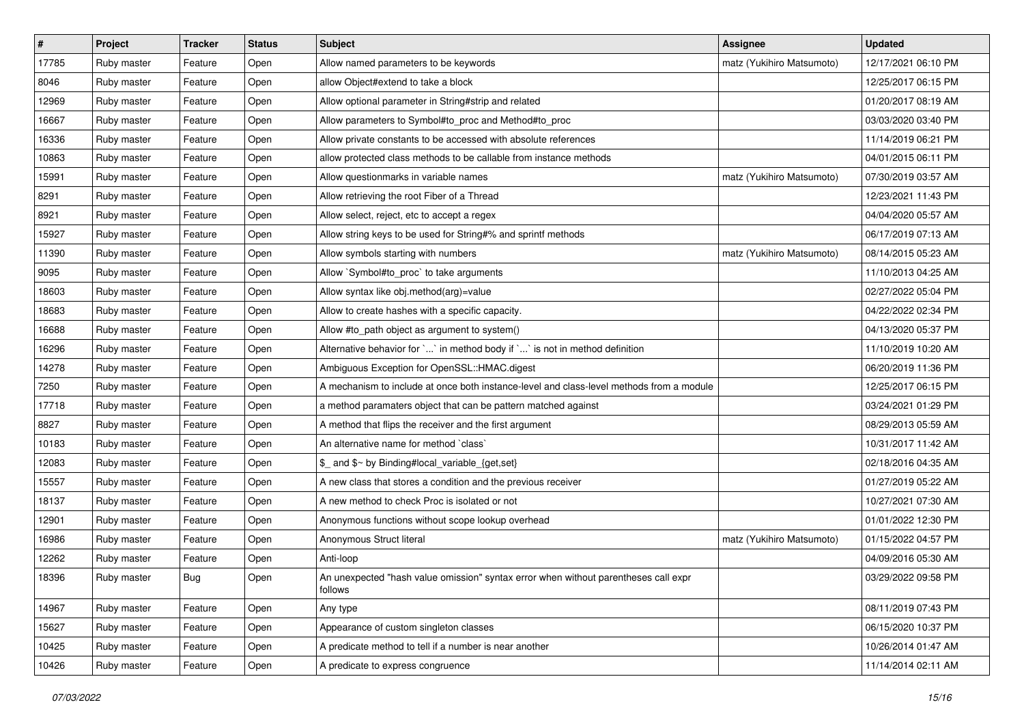| #     | Project     | <b>Tracker</b> | <b>Status</b> | <b>Subject</b>                                                                                 | Assignee                  | <b>Updated</b>      |
|-------|-------------|----------------|---------------|------------------------------------------------------------------------------------------------|---------------------------|---------------------|
| 17785 | Ruby master | Feature        | Open          | Allow named parameters to be keywords                                                          | matz (Yukihiro Matsumoto) | 12/17/2021 06:10 PM |
| 8046  | Ruby master | Feature        | Open          | allow Object#extend to take a block                                                            |                           | 12/25/2017 06:15 PM |
| 12969 | Ruby master | Feature        | Open          | Allow optional parameter in String#strip and related                                           |                           | 01/20/2017 08:19 AM |
| 16667 | Ruby master | Feature        | Open          | Allow parameters to Symbol#to_proc and Method#to_proc                                          |                           | 03/03/2020 03:40 PM |
| 16336 | Ruby master | Feature        | Open          | Allow private constants to be accessed with absolute references                                |                           | 11/14/2019 06:21 PM |
| 10863 | Ruby master | Feature        | Open          | allow protected class methods to be callable from instance methods                             |                           | 04/01/2015 06:11 PM |
| 15991 | Ruby master | Feature        | Open          | Allow questionmarks in variable names                                                          | matz (Yukihiro Matsumoto) | 07/30/2019 03:57 AM |
| 8291  | Ruby master | Feature        | Open          | Allow retrieving the root Fiber of a Thread                                                    |                           | 12/23/2021 11:43 PM |
| 8921  | Ruby master | Feature        | Open          | Allow select, reject, etc to accept a regex                                                    |                           | 04/04/2020 05:57 AM |
| 15927 | Ruby master | Feature        | Open          | Allow string keys to be used for String#% and sprintf methods                                  |                           | 06/17/2019 07:13 AM |
| 11390 | Ruby master | Feature        | Open          | Allow symbols starting with numbers                                                            | matz (Yukihiro Matsumoto) | 08/14/2015 05:23 AM |
| 9095  | Ruby master | Feature        | Open          | Allow `Symbol#to_proc` to take arguments                                                       |                           | 11/10/2013 04:25 AM |
| 18603 | Ruby master | Feature        | Open          | Allow syntax like obj.method(arg)=value                                                        |                           | 02/27/2022 05:04 PM |
| 18683 | Ruby master | Feature        | Open          | Allow to create hashes with a specific capacity.                                               |                           | 04/22/2022 02:34 PM |
| 16688 | Ruby master | Feature        | Open          | Allow #to_path object as argument to system()                                                  |                           | 04/13/2020 05:37 PM |
| 16296 | Ruby master | Feature        | Open          | Alternative behavior for ` ` in method body if ` ` is not in method definition                 |                           | 11/10/2019 10:20 AM |
| 14278 | Ruby master | Feature        | Open          | Ambiguous Exception for OpenSSL::HMAC.digest                                                   |                           | 06/20/2019 11:36 PM |
| 7250  | Ruby master | Feature        | Open          | A mechanism to include at once both instance-level and class-level methods from a module       |                           | 12/25/2017 06:15 PM |
| 17718 | Ruby master | Feature        | Open          | a method paramaters object that can be pattern matched against                                 |                           | 03/24/2021 01:29 PM |
| 8827  | Ruby master | Feature        | Open          | A method that flips the receiver and the first argument                                        |                           | 08/29/2013 05:59 AM |
| 10183 | Ruby master | Feature        | Open          | An alternative name for method `class`                                                         |                           | 10/31/2017 11:42 AM |
| 12083 | Ruby master | Feature        | Open          | \$_ and \$~ by Binding#local_variable_{get,set}                                                |                           | 02/18/2016 04:35 AM |
| 15557 | Ruby master | Feature        | Open          | A new class that stores a condition and the previous receiver                                  |                           | 01/27/2019 05:22 AM |
| 18137 | Ruby master | Feature        | Open          | A new method to check Proc is isolated or not                                                  |                           | 10/27/2021 07:30 AM |
| 12901 | Ruby master | Feature        | Open          | Anonymous functions without scope lookup overhead                                              |                           | 01/01/2022 12:30 PM |
| 16986 | Ruby master | Feature        | Open          | Anonymous Struct literal                                                                       | matz (Yukihiro Matsumoto) | 01/15/2022 04:57 PM |
| 12262 | Ruby master | Feature        | Open          | Anti-loop                                                                                      |                           | 04/09/2016 05:30 AM |
| 18396 | Ruby master | <b>Bug</b>     | Open          | An unexpected "hash value omission" syntax error when without parentheses call expr<br>follows |                           | 03/29/2022 09:58 PM |
| 14967 | Ruby master | Feature        | Open          | Any type                                                                                       |                           | 08/11/2019 07:43 PM |
| 15627 | Ruby master | Feature        | Open          | Appearance of custom singleton classes                                                         |                           | 06/15/2020 10:37 PM |
| 10425 | Ruby master | Feature        | Open          | A predicate method to tell if a number is near another                                         |                           | 10/26/2014 01:47 AM |
| 10426 | Ruby master | Feature        | Open          | A predicate to express congruence                                                              |                           | 11/14/2014 02:11 AM |